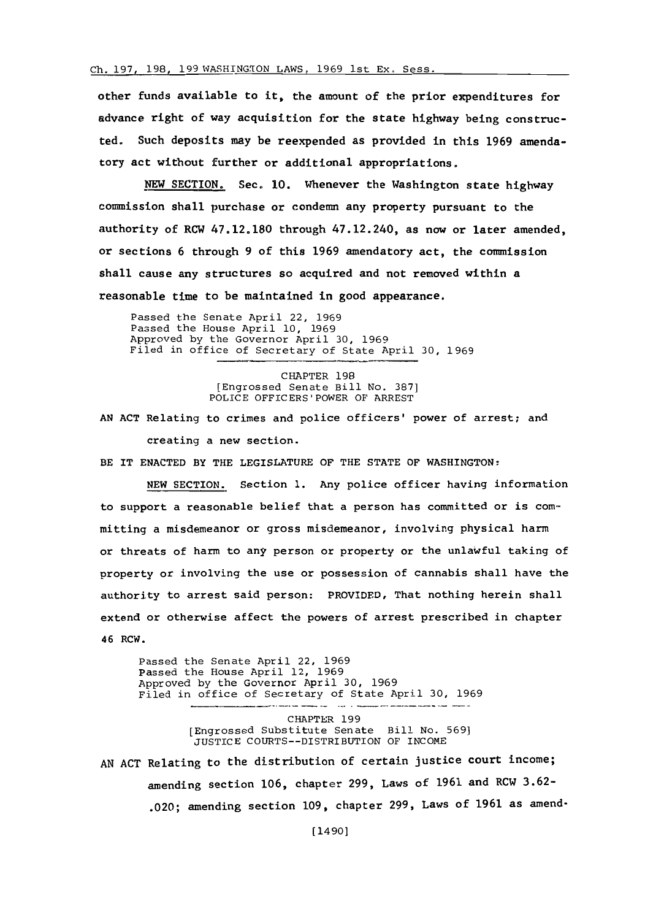## **Ch. 197, 198, 199** WASHINGION LAWS, **1969** 1st **EX,** Sess.

other funds available to it, the amount of the prior expenditures for advance right of way acquisition for the state highway being constructed. Such deposits may be reexpended as provided in this **1969** amendatory act without further or additional appropriations.

**NEW SECTION.** Sec. **10.** Whenever the Washington state highway commission shall purchase or condemn any property pursuant to the authority of RCW **47.12.180** through 47.12.240, as now or later amended, or sections **6** through **9** of this **1969** amendatory act, the coimmission shall cause any structures so acquired and not removed within a reasonable time to be maintained in good appearance.

Passed the Senate April 22, **1969** Passed the House April **10, 1969** Approved **by** the Governor April **30, 1969** Filed in office of Secretary of State April **30, 1969**

> CHAPTER **198** [Engrossed Senate Bill No. **387]** POLICE OFFICERS'POWER OF ARREST

**AN ACT** Relating to crimes and police officers' power of arrest; and creating a new section.

BE IT **ENACTED** BY THE LEGISLATURE OF THE **STATE** OF WASHINGTON:

**NEW** SECTION. Section **1.** Any police officer having information to support a reasonable belief that a person has committed or is committing a misdemeanor or gross misdemeanor, involving physical harm or threats of harm to any person or property or the unlawful taking of property or involving the use or possession of cannabis shall have the authority to arrest said person: PROVIDED, That nothing herein shall extend or otherwise affect the powers of arrest prescribed in chapter 46 RCW.

Passed the Senate April 22, **1969** Passed the House April 12, **1969** Approved **by** the Governor April **30, 1969** Filed in office of Secretary of State April **30, 1969**

> CHAPTER **199** [Engrossed Substitute Senate Bill No. **569] JUSTICE** COURTS--DISTRIBUTION OF INCOME

**AN ACT** Relating to the distribution of certain justice court income; amending section **106,** chapter **299,** Laws of **1961** and RCW **3.62-** .020; amending section **109,** chapter **299,** Laws of **1961** as amend-

(1490]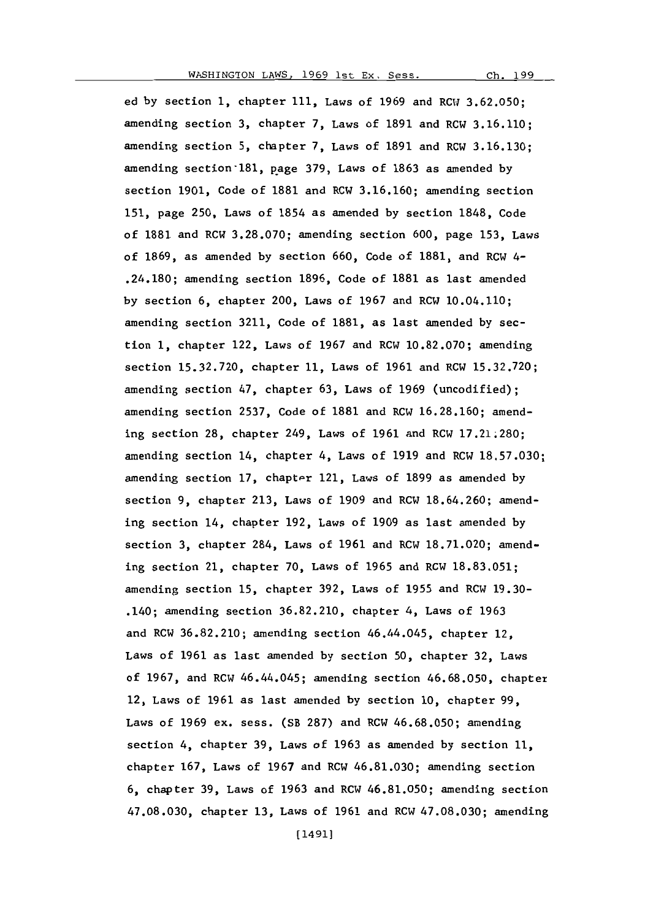199  $Ch.$ 

ed **by** section **1,** chapter **111,** Laws of **1969** and RCW **3.62.050;** amending section **3,** chapter **7,** Laws of **1891** and RCW **3.16.110;** amending section **5,** chapter **7,** Laws of **1891** and RCW **3.16.130;** amending section 181, page 379, Laws of 1863 as amended by section **1901,** Code of **1881** and RCW **3.16.160;** amending section **151,** page **250,** Laws of 1854 as amended **by** section **1848,** Code of **1881** and RCW **3.28.070;** amending section **600,** page **153,** Laws of **1869,** as amended **by** section **660,** Code of **1881,** and RCW 4- .24.180; amending section **1896,** Code of **1881** as last amended **by** section **6,** chapter 200, Laws of **1967** and RCW 10.04.110; amending section **3211,** Code of **1881,** as last amended **by** section **1,** chapter 122, Laws of **1967** and RCW **10.82.070;** amending section **15.32.720,** chapter **11,** Laws of **1961** and RCW **15.32.720;** amending section 47, chapter **63,** Laws of **1969** (uncodified); amending section **2537,** Code of **1881** and RCW **16.28.160;** amending section **28,** chapter 249, Laws of **1961** and RCW **17.21;280;** amending section 14, chapter 4, Laws of **1919** and RCW **18.57.030;** amending section **17,** chapter 121, Laws of **1899** as amended **by** section **9,** chapter **213,** Laws of **1909** and RCW **18.64.260;** amending section 14, chapter **192,** Laws of **1909** as last amended **by** section **3,** chapter 284, Laws of **1961** and RCW **18.71.020;** amending section 21, chapter **70,** Laws of **1965** and RCW **18.83.051;** amending section **15,** chapter **392,** Laws of **1955** and RCW **19.30-** .140; amending section **36.82.210,** chapter 4, Laws of **1963** and RCW **36.82. 210;** amending section 46.44.045, chapter 12, Laws of **1961** as last amended **by** section **50,** chapter **32,** Laws of **1967,** and RCW 46.44.045; amending section **46.68.050,** chapter 12, Laws of **1961** as last amended **by** section **10,** chapter **99,** Laws of **1969** ex. sess. (SB **287)** and RCW **46.68.050;** amending section 4, chapter **39,** Laws of **1963** as amended **by** section **11,** chapter **167,** Laws of **1967** and RCW **46.81.030;** amending section **6,** chapter **39,** Laws of **1963** and RCW **46.81.050;** amending section **47.08.030,** chapter **13,** Laws of **1961** and RCW **47.08.030;** amending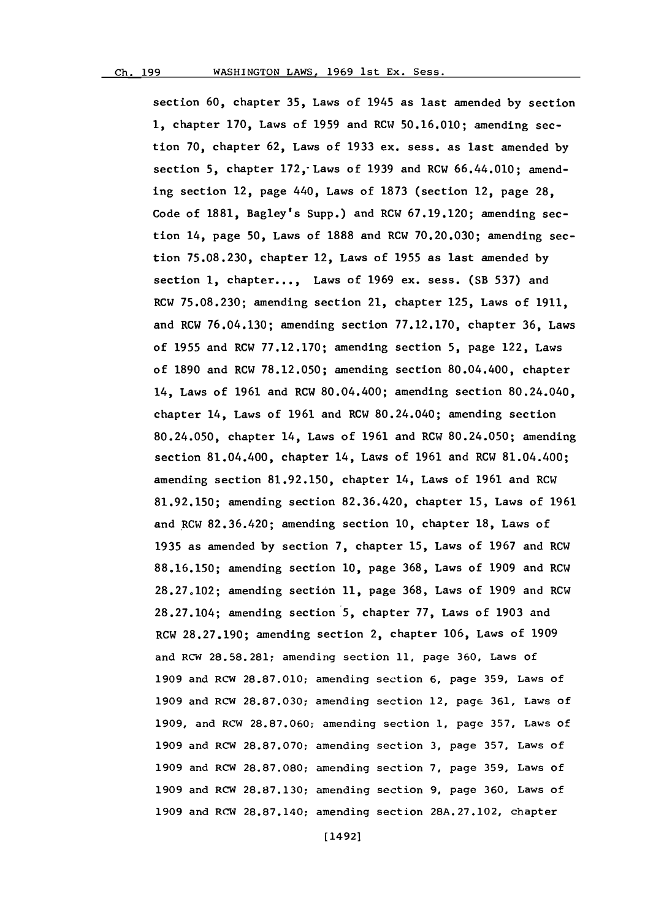section **60,** chapter **35,** Laws of 1945 as last amended **by** section **1,** chapter **170,** Laws of **1959** and RCW **50.16.010;** amending section **70,** chapter **62,** Laws of **1933** ex. sess. as last amended **by** section **5,** chapter 172,-Laws of **1939** and RCW 66.44.010; amending section 12, page 440, Laws of **1873** (section 12, page **28,** Code of **1881,** Bagley's Supp.) and RCW **67.19.120;** amending section 14, page **50,** Laws of **1888** and RCW **70.20.030;** amending section **75.08.230,** chapter 12, Laws of **1955** as last amended **by** section **1,** chapter..., Laws of **1969** ex. sess. (SB **537)** and RCW **75.08.230;** amending section 21, chapter **125,** Laws of **1911,** and RCW **76.04.130;** amending section **77.12.170,** chapter **36,** Laws of **1955** and RCW **77.12.170;** amending section **5,** page 122, Laws of **1890** and RCW **78.12.050;** amending section 80.04.400, chapter 14, Laws of **1961** and RCW 80.04.400; amending section 80.24.040, chapter 14, Laws of **1961** and RCW 80.24.040; amending section 80.24.050, chapter 14, Laws of **1961** and RCW 80.24.050; amending section 81.04.400, chapter 14, Laws of **1961** and RCW 81.04.400; amending section **81.92.150,** chapter 14, Laws of **1961** and RCW **81.92.150;** amending section **82.36.420,** chapter **15,** Laws of **1961** and RCW **82.36.420;** amending section **10,** chapter **18,** Laws of **1935** as amended **by** section **7,** chapter **15,** Laws of **1967** and RCW **88.16.150;** amending section **10,** page **368,** Laws of **1909** and RCW **28.27.102;** amending section **11,** page **368,** Laws of **1909** and RCW **28.27.104;** amending section **5,** chapter **77,** Laws of **1903** and RCW **28.27.190;** amending section 2, chapter **106,** Laws of **1909** and RCW **28.58.281;** amending section **11,** page **360,** Laws of **1909** and RCW **28.87.010;** amending section **6,** page **359,** Laws of **1909** and RCW **28.87.030;** amending section 12, page **361,** Laws of **1909,** and RCW **28.87.060;** amending section **1,** page **357,** Laws of **1909** and RCW **28.87.070;** amending section **3,** page **357,** Laws of **1909** and RCW **28.87.080;** amending section **7,** page **359,** Laws of **1909** and RCW **28.87.130;** amending section **9,** page **360,** Laws of **1909** and RCW **28.87.140;** amending section **28A.27.102,** chapter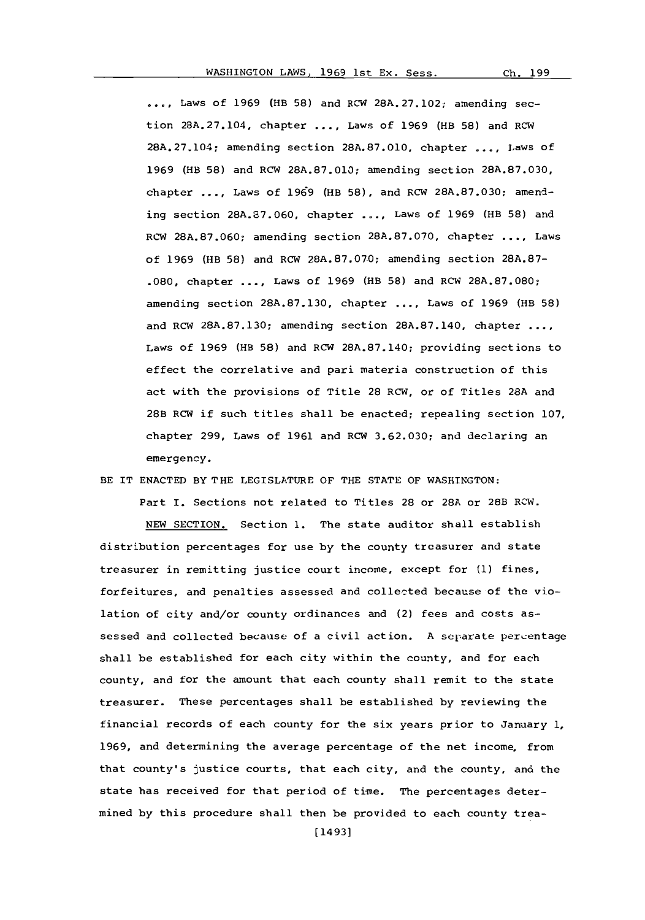**,..,.** Laws of **1969** (HB **58)** and RCW **28A. 27.102,** amending *sec*tion **28A.27.104,** chapter **... ,** Laws of **1969** (fiB **58)** and RCW 28A.27.104; amending section **28A.87.010,** chapter **... ,** Laws of **1969** (fiB **58)** and RCW **28A.87.010;** amending section **28A.87.030,** chapter **....** Laws **of 1969** (fiB **58),** and RCW **28A.87.030;** amending section **28A.67.060,** chapter **....** Laws of **1969** (HB **58)** and RCW **28A.87.060;** amending section **28A.87.070,** chapter **....** Laws of **1969** (HB **58)** and RCW **28A.87.070;** amending section **28A.87- .080,** chapter **....** Laws of **1969** (HB **58)** and RCW **28A.87.080;** amending section **28A.87.130,** chapter **... ,** Laws of **1969** (HB **58)** and RCW **28A.87.130;** amending section **28A.87.140,** chapter **..** Laws of **1969** (fiB **58)** and RCW **28A.87.140;** providing sections to effect the correlative and pari materia construction of this act with the provisions of Title **28** RCW, or of Titles **28A** and 28B RCW if such titles shall be enacted; repealing section **107,** chapter **299,** Laws of **1961** and RCW **3.62.030;** and declaring an emergency.

BE IT **ENACTED** BY THE **LEGISLATURE** OF THE **STATE** OF WASHINGTON:

Part I. Sections not related to Titles 28 or 28A or 28B RCW. **NEW** SECTION. Section **1.** The state auditor shall establish distribution percentages for use **by** the county treasurer and state treasurer in remitting justice court income, except for **(1)** fines, forfeitures, and penalties assessed and collected because of the violation of city and/or county ordinances and (2) fees and costs assessed and collected because of a civil action. **A** separate percentage shall be established for each city within the county, and for each county, and for the amount that each county shall remit to the state treasurer. These percentages shall be established **by** reviewing the financial records of each county for the six years prior to January **1, 1969,** and determining the average percentage of the net income, from that county's justice courts, that each city, and the county, and the state has received for that period of time. The percentages determined **by** this procedure shall then be provided to each county trea-

Ch. 199

[14931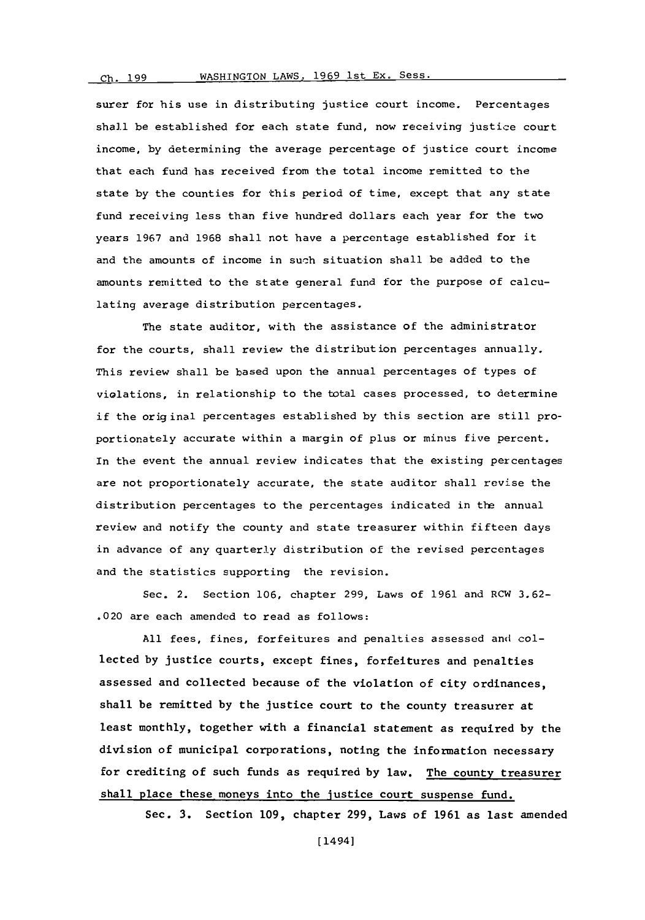# Ch. 199 WASHINGTON LAWS, 1969 1st Ex. Sess.

surer for his use in distributing justice court income. Percentages shall be established for each state fund, now receiving justice court income, **by** determining the average percentage of justice court income that each fund has received from the total income remitted to the state **by** the counties for this period of time, except that any state fund receiving less than five hundred dollars each year for the two years **1967** and **1968** shall not have a percentage established for it and the amounts of income in such situation shall be added to the amounts remitted to the state general fund for the purpose of calculating average distribution percentages.

The state auditor, with the assistance of the administrator for the courts, shall review the distribution percentages annually. This review shall be based upon the annual percentages of types of violations, in relationship to the total cases processed, to determine if the original percentages established **by** this section are still proportionately accurate within a margin of plus or minus five percent. In the event the annual review indicates that the existing percentages are not proportionately accurate, the state auditor shall revise the distribution percentages to the percentages indicated in tle annual review and notify the county and state treasurer within fifteen days in advance of any quarterly distribution of the revised percentages and the statistics supporting the revision.

Sec. 2. Section **106,** chapter **299,** Laws of **1961** and RCW **3.62-** .020 are each amended to read as follows:

**All** fees, fines, forfeitures and penalties assessed and collected **by** justice courts, except fines, forfeitures and penalties assessed and collected because of the violation of city ordinances, shall be remitted **by** the justice court to the county treasurer at least monthly, together with a financial statement as required **by** the division of municipal corporations, noting the information necessary for crediting of such funds as required **by** law. The county treasurer shall place these moneys into the justice court suspense fund.

Sec. **3.** Section **109,** chapter **299,** Laws of **1961** as last amended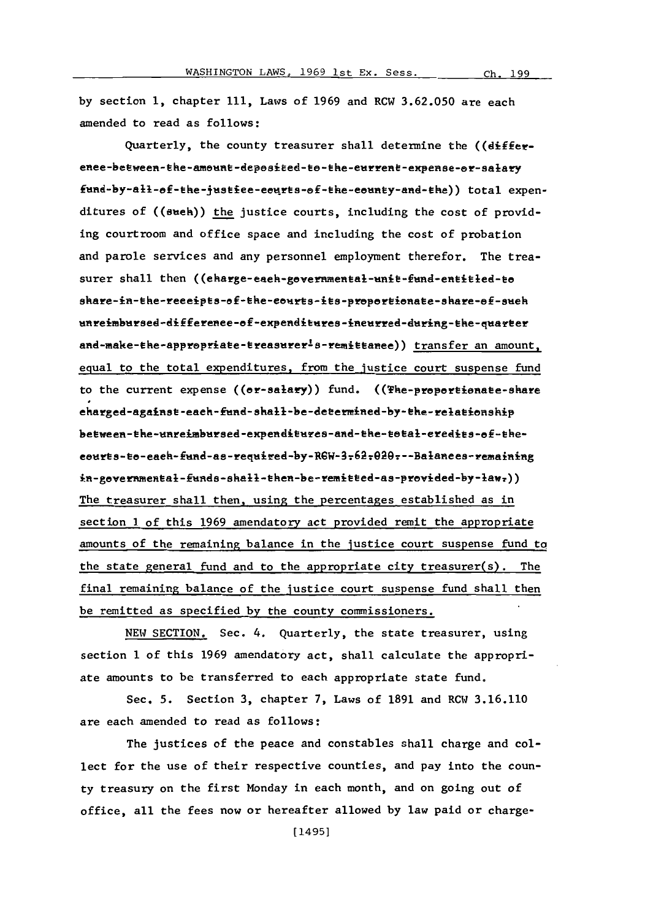**by** section **1,** chapter **111,** Laws of **1969** and RCW **3.62.050** are each amended to read as follows:

Quarterly, the county treasurer shall determine the ((differenee-between-the-amount-deposited-to-the-eurrent-expense-or-salary fund-by-all-of-the-justice-courts-of-the-county-and-the)) total expenditures of ((sueh)) the justice courts, including the cost of providing courtroom and office space and including the cost of probation and parole services and any personnel employment therefor. The treasurer shall then ((eharge-each-governmental-unit-fund-entitled-to share-in-the-receipts-of-the-courts-its-proportionate-share-of-such unreimbursed-difference-of-expenditures-incurred-during-the-quarter and-make-the-appropriate-treasurer<sup>1</sup>s-remittanee)) transfer an amount, equal to the total expenditures, from the justice court suspense fund to the current expense ((er-salary)) fund. ((The-propertionate-share eharged-against-each-fund-shall-be-determined-by-the-relationship between-the-unreimbursed-expenditures-and-the-total-eredits-of-theeourts-to-each-fund-as-required-by-RGW-3-62-020---Balances-remaining in-governmental-funds-shall-then-be-remitted-as-provided-by-law.)) The treasurer shall then, using the percentages established as in section **1** of this **1969** amendatory act provided remit the appropriate amounts of the remaining balance in the justice court suspense fund to the state general fund and to the appropriate city treasurer(s). The final remaining balance of the justice court suspense fund shall then be remitted as specified **by** the county commissioners.

**NEW** SECTION. Sec. 4. Quarterly, the state treasurer, using section 1 of this **1969** amendatory act, shall calculate the appropriate amounts to be transferred to each appropriate state fund.

Sec. **5.** Section **3,** chapter **7,** Laws of **1891** and RCW **3.16.110** are each amended to read as follows:

The justices of the peace and constables shall charge and collect for the use of their respective counties, and pay into the county treasury on the first Monday in each month, and on going out of office, all the fees now or hereafter allowed **by** law paid or charge-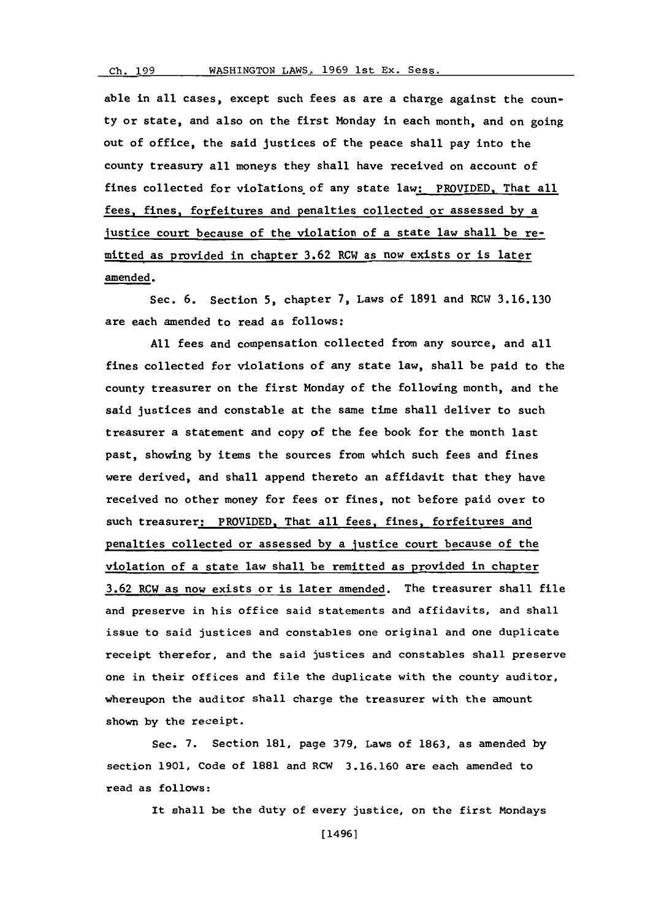able in all cases, except such fees as are a charge against the county or state, and also on the first Monday in each month, and on going out of office, the said justices of the peace shall pay into the county treasury all moneys they shall have received on account of fines collected for viotations of any state law: PROVIDED. That all fees, fines, forfeitures and penalties collected or assessed **by** a justice court because of the violation of a state law shall be remitted as provided in chapter **3.62** RCW as now exists or is later amended.

Sec. **6.** Section **5,** chapter **7,** Laws of **1891** and RCW **3.16.130** are each amended to read as follows:

**All** fees and compensation collected from any source, and all fines collected for violations of any state law, shall be paid to the county treasurer on the first Monday of the following month, and the said justices and constable at the same time shall deliver to such treasurer a statement and copy of the fee book for the month last past, showing **by** items the sources from which such fees and fines were derived, and shall append thereto an affidavit that they have received no other money for fees or fines, not before paid over to such treasurer: PROVIDED, That all fees, fines, forfeitures and penalties collected or assessed **by** a justice court because of the violation of a state law shall be remitted as provided in chapter **3.62** RCW as now exists or is later amended. The treasurer shall file and preserve in his office said statements and affidavits, and shall issue to said justices and constables one original and one duplicate receipt therefor, and the said justices and constables shall preserve one in their offices and file the duplicate with the county auditor, whereupon the auditor shall charge the treasurer with the amount shown **by** the receipt.

Sec. **7.** Section **181,** page **379,** Laws of **1863,** as amended **by** section **1901,** Code of **1881** and RCW **3.16.160** are each amended to read as follows:

It shall be the duty of every justice, on the first Mondays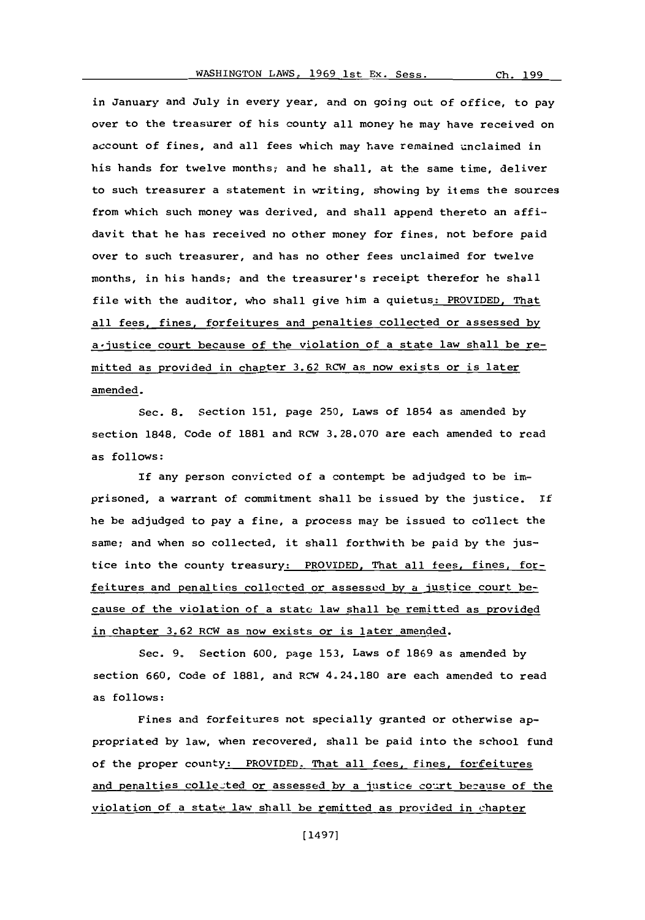in January and July in every year, and on going out of office, to pay over to the treasurer of his county all money he may have received on account of fines, and all fees which may have remained unclaimed in his hands for twelve months; and he shall, at the same time, deliver to such treasurer a statement in writing, showing **by** items the sources from which such money was derived, and shall append thereto an affidavit that he has received no other money for fines, not before paid over to such treasurer, and has no other fees unclaimed for twelve months, in his hands; and the treasurer's receipt therefor he shall file with the auditor, who shall give him a quietus: PROVIDED, That all fees, fines, forfeitures and penalties collected or assessed **by** a'justice court because of the violation of a state law shall be remitted as provided in chapter **3.62** RCW as now exists or is later amended.

Sec. **8.** Section **151,** page **250,** Laws of 1854 as amended **by** section **1848,** Code of **1881** and RCW **3. 28.070** are each amended to read as follows:

If any person convicted of a contempt be adjudged to be imprisoned, a warrant of commitment shall be issued **by** the justice. If he be adjudged to pay a fine, a process may be issued to collect the same; and when so collected, it shall forthwith be paid **by** the justice into the county treasury: PROVIDED, That all fees, fines, forfeitures and penalties collected or assessed by a justice court because of the violation of a state law shall be remitted as provided in chapter **3.62** RCW as now exists or is later amended.

Sec. **9.** Section **600,** page **153,** Laws of **1869** as amended **by** section **660,** code of **1881,** and RCW 4.24.180 are each amended to read as follows:

Fines and forfeitures not specially granted or otherwise appropriated **by** law, when recovered, shall be paid into the school fund of the proper county: PROVIDED, That all fees, fines, for feitures and penalties collested or assessed by a justice court berause of the violation of a state law shall be remitted as provided in chapter

[14971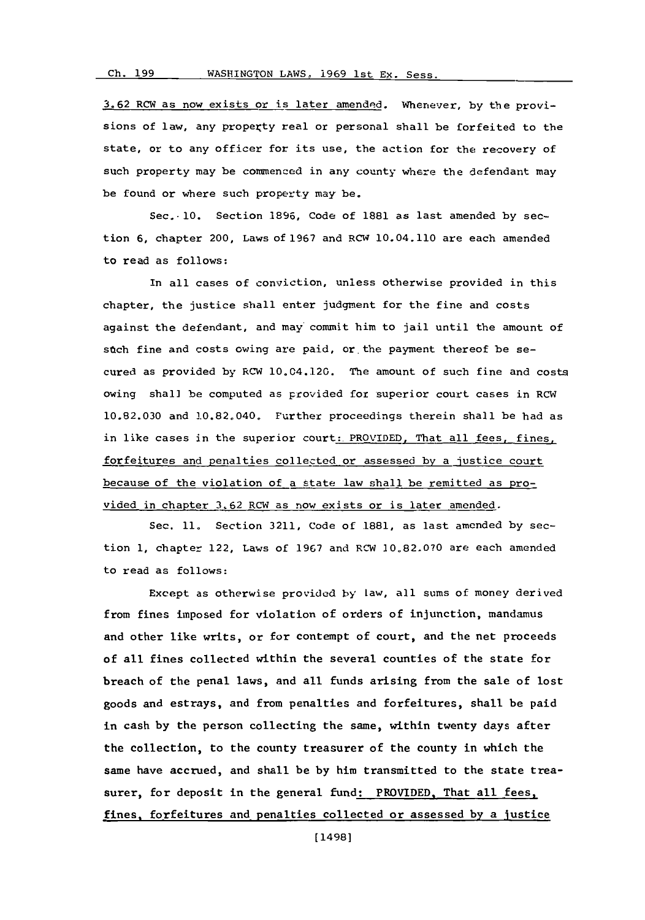**3. 62** RCW as now exists or is later amendnd. *Whenever,* **by** the provisions of law, any property real or personal shall be forfeited to the state, or to any officer for its use, the action for the recovery of such property may be commenced in any county where the defendant may be found or where such property may be.

Sec. 10. Section **1896,** Code of **1881** as last amended **by** section **6,** chapter 200, Laws of **1967** and RCW 10.04.110 are each amended to read as follows:

In all cases of conviction, unless otherwise provided in this chapter, the justice shall enter judgment for the fine and costs against the defendant, and may commit him to jail until the amount of stch fine and costs owing are paid, or the payment thereof be secured as provided **by** RCW 10,04.120. The amount of such fine and costs owing shall be computed as provided for superior court cases in RCW **10.82.030** and 10.82.040. Further proceedings therein shall be had as in like cases in the superior court: PROVIDED, That all fees, fines, forfeitures and penalties collected or assessed **by** a justice court because of the violation of a state law shall be remitted as provided in-chapter **3.62** RCW as now exists or is later amended.

Sec. **11.** Section **3211,** Code of **1881,** as last amended **by** section **1,** chapter 122, Laws of **1967** and RCW **10,82.070** are each amended to read as follows:

Except as otherwise provided **by** law, all sums of money derived from fines imposed for violation of orders of injunction, mandamus and other like writs, or for contempt of court, and the net proceeds of all fines collected within the several counties of the state for breach of the penal laws, and all funds arising from the sale of lost goods and estrays, and from penalties and forfeitures, shall be paid in cash **by** the person collecting the same, within twenty days after the collection, to the county treasurer of the county in which the same have accrued, and shall be **by** him transmitted to the state treasurer, for deposit in the general fund: PROVIDED, That all fees, fines, forfeitures and penalties collected or assessed **by** a justice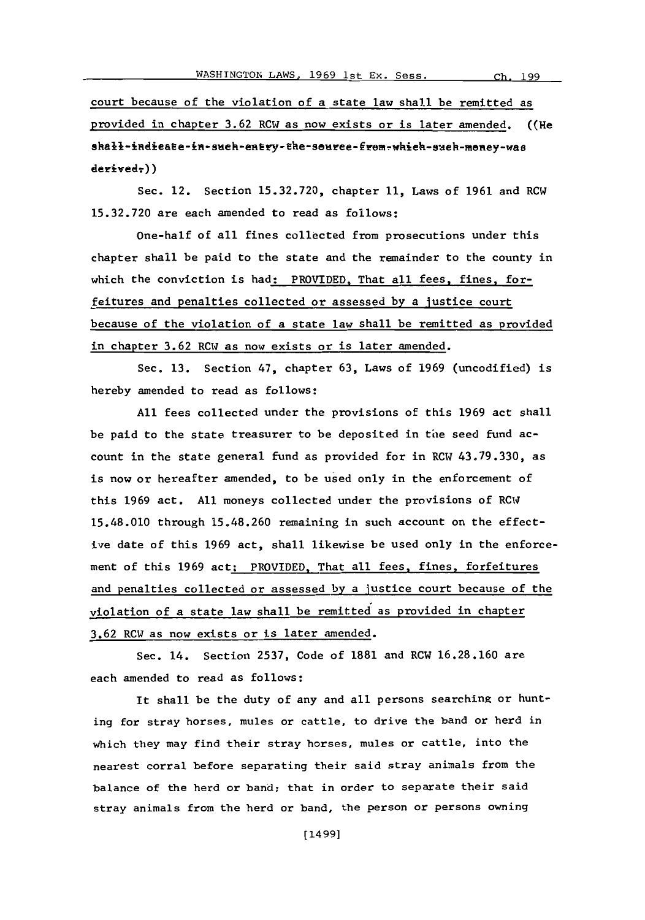court because of the violation of a state law shall be remitted as provided in chapter **3.62** RCW as now exists or is later amended. ((He shall-indieate-in-sueh-entry-the-souree-from-which-sueh-money-was  $devived<sub>z</sub>)$ )

Sec. 12. Section **15.32.720,** chapter **11,** Laws of **1961** and RCW **15.32.720** are each amended to read as follows:

One-half of all fines collected from prosecutions under this chapter shall be paid to the state and the remainder to the county in which the conviction is had: PROVIDED, That all fees, fines, forfeitures and penalties collected or assessed **by** a justice court because of the violation of a state law shall be remitted as provided in chapter **3.62** RCW as now exists or is later amended.

Sec. **13.** Section 47, chapter **63,** Laws of **1969** (uncodified) is hereby amended to read as follows:

**All** fees collected under the provisions of this **1969** act shall be paid to the state treasurer to be deposited in the seed fund account in the state general fund as provided for in RCW **43.79.330,** as is now or hereafter amended, to be used only in the enforcement of this **1969** act. **All** moneys collected under the provisions of RC14 15.48.010 through **15.48.260** remaining in such account on the effective date of this **1969** act, shall likewise be used only in the enforcement of this **1969** act: PROVIDED. That all fees, fines, forfeitures and penalties collected or assessed **by** a Justice court because of the violation of a state law shall be remitted as provided in chapter **3.62** RCW as now exists or is later amended.

Sec. 14. Section **2537,** Code of **1881** and RCW **16.28.160** are each amended to read as follows:

It shall be the duty of any and all persons searching or hunting for stray horses, mules or cattle, to drive the band or herd in which they may find their stray horses, mules or cattle, into the nearest corral before separating their said stray animals from the balance of the herd or band; that in order to separate their said stray animals from the herd or band, the person or persons owning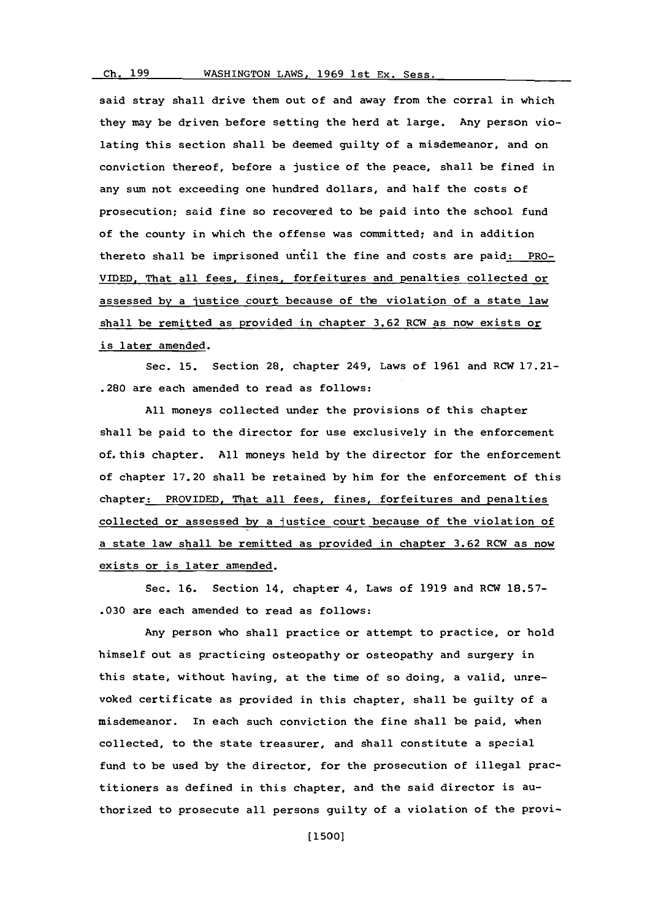WASHINGTON LAWS, 1969 1st Ex. Sess.

said stray shall drive them out of and away from the corral in which they may be driven before setting the herd at large. Any person violating this section shall be deemed guilty of a misdemeanor, and on conviction thereof, before a justice of the peace, shall be fined in any sum not exceeding one hundred dollars, and half the costs of prosecution; said fine so recovered to be paid into the school fund of the county in which the offense was committed; and in addition thereto shall be imprisoned until the fine and costs are paid: PRO-**VIDED.** That all fees, fines, forfeitures and penalties collected or assessed **by** a justice court because of the violation of a state law shall be remitted as provided in chapter **3.62** ROW as now exists or is later amended.

Sec. **15.** Section 28, chapter 249, Laws of **1961** and ROW **17.21-** .280 are each amended to read as follows:

**All** moneys collected under the provisions of this chapter shall be paid to the director for use exclusively in the enforcement of. this chapter. **All** moneys held **by** the director for the enforcement of chapter **17.20** shall be retained **by** him for the enforcement of this chapter: PROVIDED, That all fees, fines, forfeitures and penalties collected or assessed **by** a justice court because of the violation of a state law shall be remitted as provided in chapter **3.62** ROW as now exists or is later amended.

Sec. **16.** Section 14, chapter 4, Laws of **1919** and ROW **18.57- .030** are each amended to read as follows:

Any person who shall practice or attempt to practice, or hold himself out as practicing osteopathy or osteopathy and surgery in this state, without having, at the time of so doing, a valid, unreyoked certificate as provided in this chapter, shall be guilty **of** a misdemeanor. In each such conviction the fine shall be paid, when collected, to the state treasurer, and shall constitute a special fund to be used **by** the director, for the prosecution of illegal practitioners as defined in this chapter, and the said director is authorized to prosecute all persons guilty of a violation of the provi-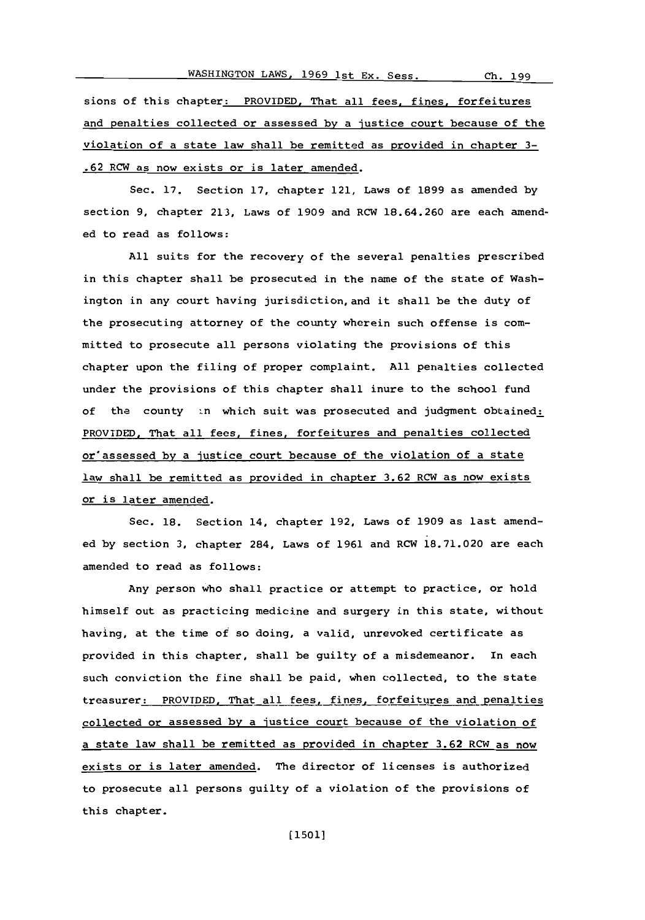sions of this chapter: PROVIDED. That all fees, fines, forfeitures and penalties collected or assessed **by** a justice court because of the violation of a state law shall be remitted as provided in chapter **3- .62** RCW as now exists or is later amended.

Sec. **17.** Section **17,** chapter 121, Laws of **1899** as amended **by** section **9,** chapter **213,** Laws of **1909** and RCW **18.64.260** are each amended to read as follows:

**All** suits for the recovery of the several penalties prescribed in this chapter shall be prosecuted in the name of the state of Washington in any court having jurisdiction,and it shall be the duty of the prosecuting attorney of the county wherein such offense is committed to prosecute all persons violating the provisions of this chapter upon the filing of proper complaint. **All** penalties collected under the provisions of this chapter shall inure to the school fund of the county in which suit was prosecuted and judgment obtained: PROVIDED, That all fees, fines, forfeitures and penalties collected or' assessed **by** a justice court because of the violation of a state law shall be remitted as provided in chapter **3.62** RCW as now exists or is later amended.

Sec. **18.** Section 14, chapter **192,** Laws of **1909** as last amended **by** section **3,** chapter 284, Laws of **1961** and RCW **18.71.020** are each amended to read as follows:

Any person who shall practice or attempt to practice, or hold himself out as practicing medicine and surgery in this state, without having, at the time of so doing, a valid, unrevoked certificate as provided in this chapter, shall be guilty of a misdemeanor. In each such conviction the fine shall be paid, when collected, to the state treasurer: PROVIDED, That all fees, fines, forfeitures and penalties collected or assessed **by** a justice court because of the violation of a state law shall be remitted as provided in chapter **3.62** RCW as now exists or is later amended. The director of licenses is authorized to prosecute all persons guilty of a violation of the provisions of this chapter.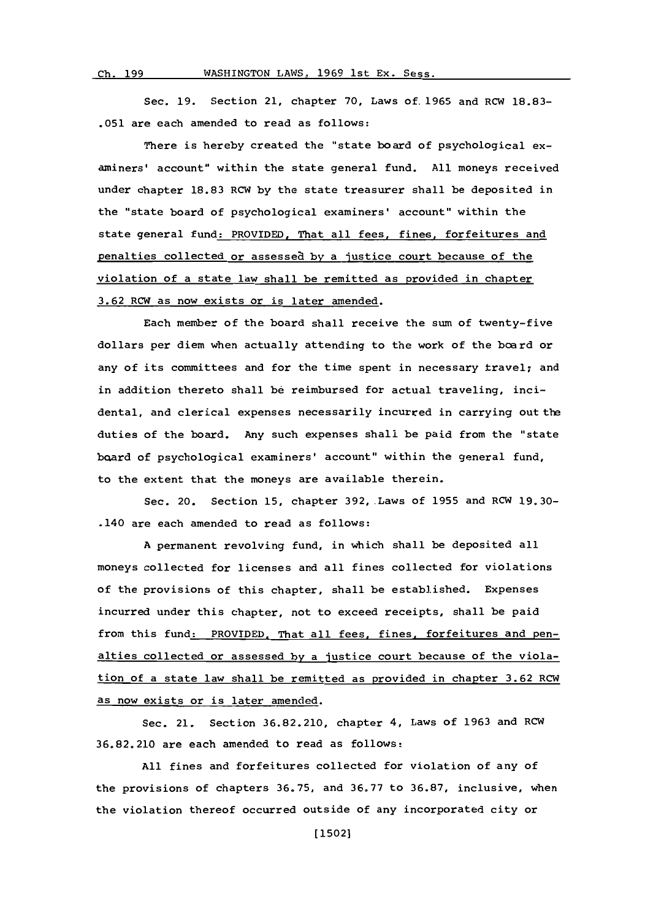WASHINGTON LAWS, 1969 1st Ex. Sess.

Ch. 199

Sec. **19.** Section 21, chapter **70,** Laws of. 1965 and RCW **18.83- .051** are each amended to read as follows:

There is hereby created the 'state board of psychological examiners' account" within the state general fund. All moneys received under chapter **18.83** RCW **by** the state treasurer shall be deposited in the "state board of psychological examiners' account" within the state general fund: PROVIDED, That all fees, fines, forfeitures and penalties collected or assessea **by** a justice court because of the violation of a state law shall be remitted as provided in chapter **3.62** RCW as now exists or is later amended.

Each member of the board shall receive the sum of twenty-five dollars per diem when actually attending to the work of the board or any of its committees and for the time spent in necessary travel; and in addition thereto shall **be** reimbursed for actual traveling, incidental, and clerical expenses necessarily incurred in carrying out the duties of the board. Any such expenses shall be paid from the "state board of psychological examiners' account" within the general fund, to the extent that the moneys are available therein.

Sec. 20. Section **15,** chapter 392,.Laws of **1955** and RCW **19.30-** .140 are each amended to read as follows:

**A** permanent revolving fund, in which shall be deposited all moneys collected for licenses and all fines collected for violations of the provisions of this chapter, shall be established. Expenses incurred under this chapter, not to exceed receipts, shall be paid from this fund: PROVIDED, That all fees, fines, forfeitures and penalties collected or assessed **by** a justice court because of the violation of a state law shall be remitted as provided in chapter **3.62** RCW as now exists or is later amended.

Sec. 21. Section **36.82.210,** chapter 4, Laws of **1963** and RCW **36.82.210** are each amended to read as follows:

**All** fines and forfeitures collected for violation of any of the provisions of chapters **36,75,** and **36.77** to **36.87,** inclusive, when the violation thereof occurred outside of any incorporated city or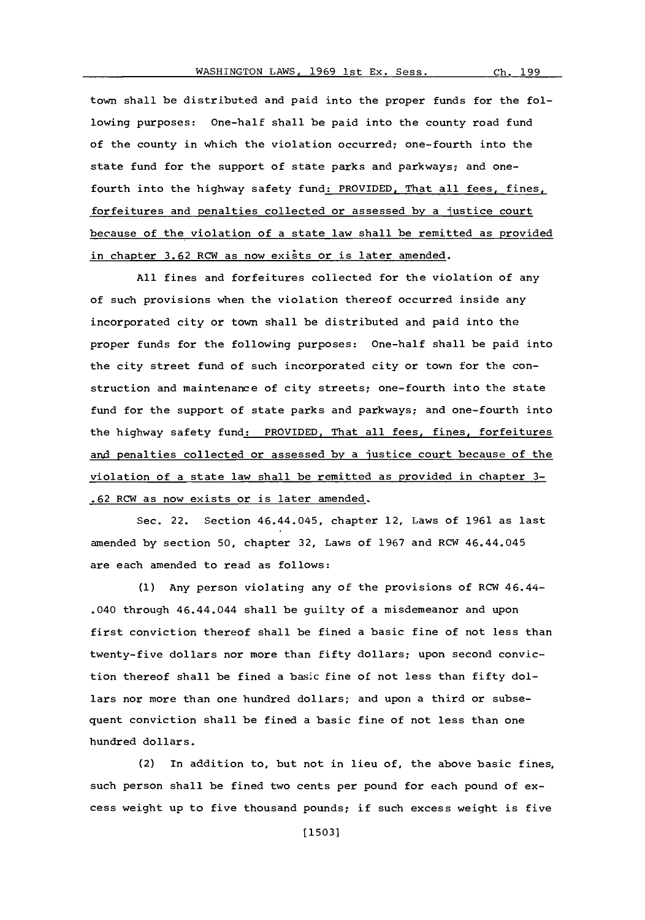town shall be distributed and paid into the proper funds for the following purposes: One-half shall be paid into the county road fund of the county in which the violation occurred; one-fourth into the state fund for the support of state parks and parkways; and onefourth into the highway safety fund: PROVIDED, That all fees, fines, forfeitures and penalties collected or assessed **by** a justice court because of the violation of a state law shall be remitted as provided in chapter 3.62 RCW as now exists or is later amended.

**All** fines and forfeitures collected for the violation of any of such provisions when the violation thereof occurred inside any incorporated city or town shall be distributed and paid into the proper funds for the following purposes: One-half shall be paid into the city street fund of such incorporated city or town for the construction and maintenance of city streets; one-fourth into the state fund for the support of state parks and parkways; and one-fourth into the highway safety fund: PROVIDED, That all fees, fines, forfeitures and penalties collected or assessed by a justice court because of the violation of a state law shall be remitted as provided in chapter **3- .62** RCW as now exists or is later amended-

Sec. 22. Section 46.44.045, chapter 12, Laws of **1961** as last amended **by** section **50,** chapter **32,** Laws of **1967** and RCW 46.44.045 are each amended to read as follows:

**(1)** Any person violating any of the provisions of RCW 46.44- .040 through 46.44.044 shall be guilty of a misdemeanor and upon first conviction thereof shall be fined a basic fine of not less than twenty-five dollars nor more than fifty dollars; upon second conviction thereof shall be fined a basic fine of not less than fifty dollars nor more than one hundred dollars; and upon a third or subsequent conviction shall be fined a basic fine of not less than one hundred dollars.

(2) In addition to, but not in lieu of, the above basic fines, such person shall be fined two cents per pound for each pound of excess weight up to five thousand pounds; if such excess weight is five

Ch. 199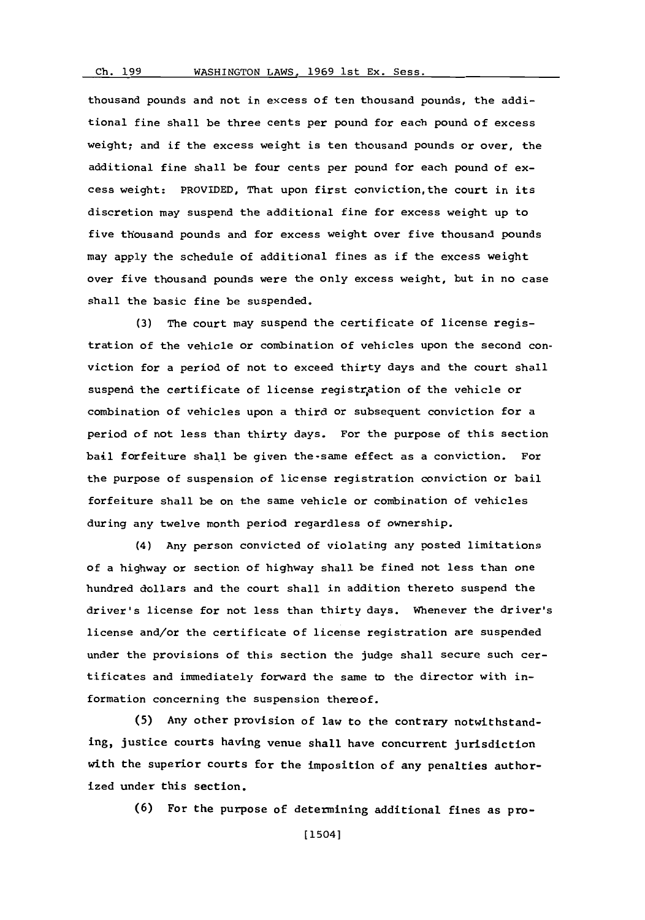## **Ch. 199**

thousand pounds and not in excess of ten thousand pounds, the additional fine shall be three cents per pound for each pound of excess weight; and if the excess weight is ten thousand pounds or over, the additional fine shall be four cents per pound for each pound of excess weight: PROVIDED, That upon first conviction,the court in its discretion may suspend the additional fine for excess weight up to five thousand pounds and for excess weight over five thousand pounds may apply the schedule of additional fines as if the excess weight over five thousand pounds were the only excess weight, but in no case shall the basic fine be suspended.

**(3)** The court may suspend the certificate of license registration of the vehicle or combination of vehicles upon the second conviction for a period of not to exceed thirty days and the court shall suspend the certificate of license registration of the vehicle or combination of vehicles upon a third or subsequent conviction for a period of not less than thirty days. For the purpose of this section bail forfeiture shall be given the-same effect as a conviction. For the purpose of suspension of license registration conviction or bail forfeiture shall be on the same vehicle or combination of vehicles during any twelve month period regardless of ownership.

(4) Any person convicted of violating any posted limitations of a highway or section of highway shall be fined not less than one hundred dollars and the court shall in addition thereto suspend the driver's license for not less than thirty days. Whenever the driver's license and/or the certificate of license registration are suspended under the provisions of this section the judge shall secure such certificates and immediately forward the same to the director with information concerning the suspension thereof.

**(5)** Any other provision of law to the contrary notwithstanding, justice courts having venue shall have concurrent jurisdiction with the superior courts for the imposition of any penalties authorized under this section.

**(6)** For the purpose of determining additional fines as pro-

[15041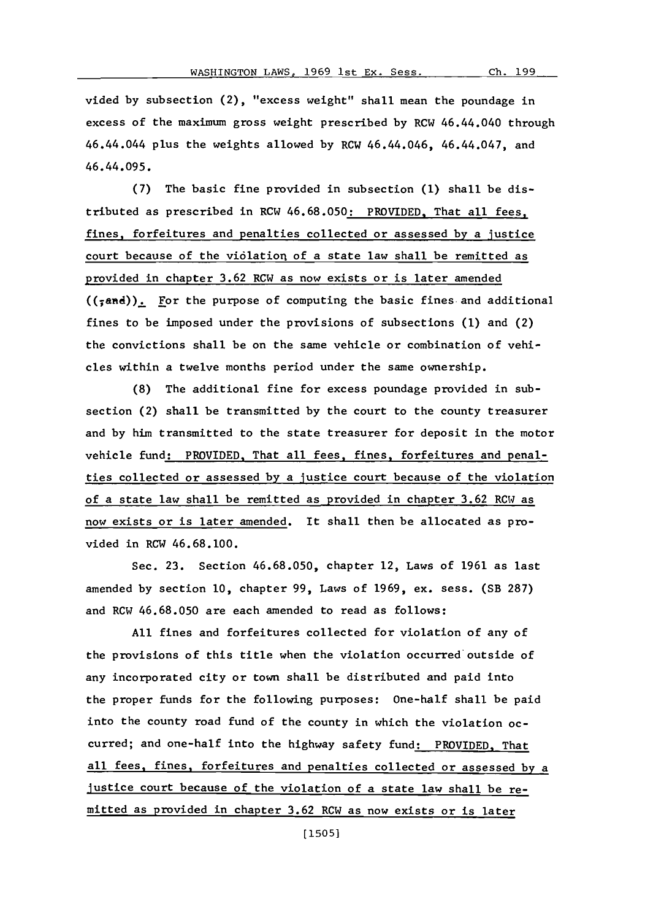Ch. 199

vided **by** subsection (2), "excess weight" shall mean the poundage in excess of the maximum gross weight prescribed **by** RCW 46.44.040 through 46.44.044 plus the weights allowed **by** RCW 46.44.046, 46.44.047, and 46.44.095.

**(7)** The basic fine provided in subsection **(1)** shall be distributed as prescribed in RCW **46.68.050:** PROVIDED. That all fees, fines, forfeitures and penalties collected or assessed **by** a justice court because of the violation of a state law shall be remitted as provided in chapter **3.62** RCW as now exists or is later amended  $((\tau)$ . For the purpose of computing the basic fines and additional fines to be imposed under the provisions of subsections **(1)** and (2) the convictions shall be on the same vehicle or combination of vehicles within a twelve months period under the same ownership.

**(8)** The additional fine for excess poundage provided in subsection (2) shall be transmitted **by** the court to the county treasurer and **by** him transmitted to the state treasurer for deposit in the motor vehicle fund: PROVIDED, That all fees, fines, forfeitures and penalties collected or assessed **by** a justice court because of the violation of a state law shall be remitted as provided in chapter **3.62** RCW as now exists or is later amended. It shall then be allocated as provided in RCW **46.68.100.**

Sec. **23.** Section **46.68.050,** chapter 12, Laws of **1961** as last amended **by** section **10,** chapter **99,** Laws of **1969,** ex. sess. (SB **287)** and RCW **46.68.050** are each amended to read as follows:

**All** fines and forfeitures collected for violation of any of the provisions of this title when the violation occurred'outside of any incorporated city or town shall be distributed and paid into the proper funds for the following purposes: One-half shall be paid into the county road fund of the county in which the violation **oc**curred; and one-half into the highway safety fund: PROVIDED, That all fees, fines, forfeitures and penalties collected or assessed **by** a Justice court because of the violation of a state law shall be remitted as provided in chapter **3.62** RCW as now exists or is later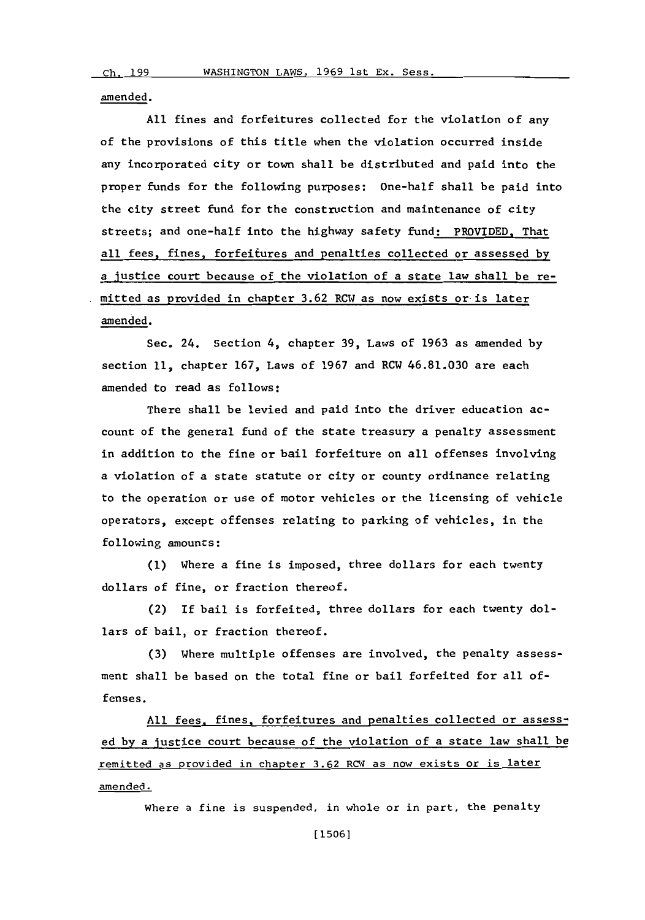amended.

**All** fines and forfeitures collected for the violation of any of the provisions of this title when the violation occurred inside any incorporated city or town shall be distributed and paid into the proper funds for the following purposes: one-half shall be paid into the city street fund for the construction and maintenance of city streets; and one-half into the highway safety fund: PROVIDED, That all fees, fines, forfeitures and penalties collected or assessed **by** a justice court because of the violation of a state law shall be remitted as provided in chapter **3.62** RCW as now exists or is later amended.

Sec. 24, Section 4, chapter **39,** Laws of **1963** as amended **by** section **11,** chapter **167,** Laws of **1967** and RCW **46.81.030** are each amended to read as follows:

There shall be levied and paid into the driver education account of the general fund of the state treasury a penalty assessment in addition to the fine or bail forfeiture on all offenses involving a violation of a state statute or city or county ordinance relating to the operation or use of motor vehicles or the licensing of vehicle operators, except offenses relating to parking of vehicles, in the following amounts:

**(1)** Where a fine is imposed, three dollars for each twenty dollars of fine, or fraction thereof.

(2) If bail is forfeited, three dollars for each twenty dollars of bail, or fraction thereof.

**(3)** Where multiple offenses are involved, the penalty assessment shall be based on the total fine or bail forfeited for all offenses.

**All** fees, fines, forfeitures and penalties collected or assessed **by** a justice court because of the violation of a state law shall be remitted as provided in chapter **3.62** RCW as now exists or is later amended.

where a fine is suspended, in whole or in part, the penalty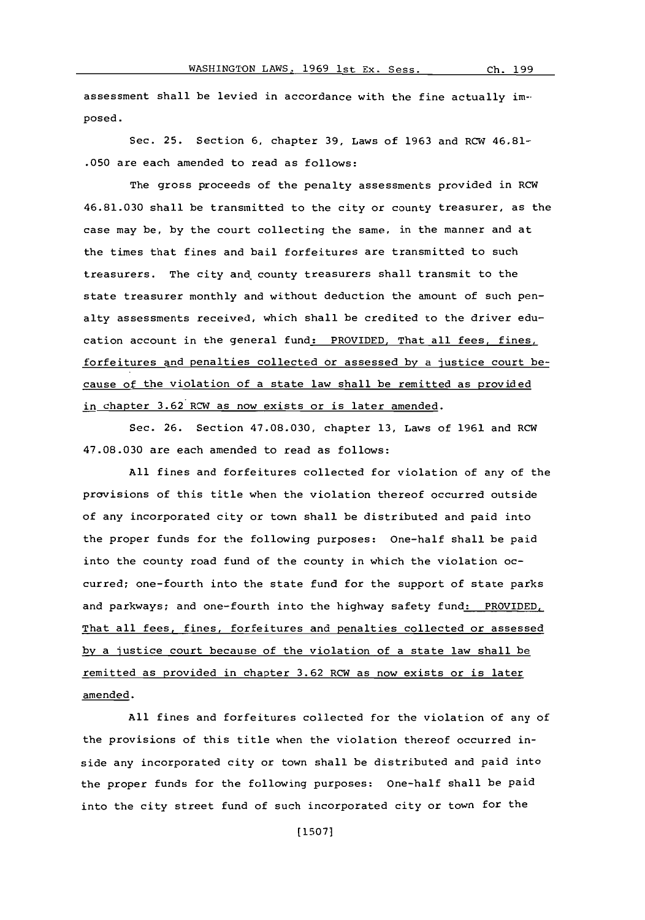assessment shall be levied in accordance with the fine actually imposed.

Sec. **25.** Section **6,** chapter **39,** Laws of **1963** and RCW 46,81- **.050** are each amended to read as follows:

The gross proceeds of the penalty assessments provided in RCW 46.81.030 shall be transmitted to the city or county treasurer, as the case may be, **by** the court collecting the same, in the manner and at the times that fines and bail forfeitures are transmitted to such treasurers. The city and county treasurers shall transmit to the state treasurer monthly and without deduction the amount of such penalty assessments received, which shall be credited to the driver education account in the general fund: PROVIDED. That all fees, fines, forfeitures and penalties collected or assessed **by** a justice court because of the violation of a state law shall be remitted as provided in chapter 3.62 RCW as now exists or is later amended.

Sec. **26.** Section 47.08.030, chapter **13,** Laws of **1961** and ROW 47.08.030 are each amended to read as follows:

**All** fines and forfeitures collected for violation of any of the provisions of this title when the violation thereof occurred outside of any incorporated city or town shall be distributed and paid into the proper funds for the following purposes: One-half shall be paid into the county road fund of the county in which the violation occurred; one-fourth into the state fund for the support of state parks and parkways; and one-fourth into the highway safety fund: PROVIDED, That all fees, fines, forfeitures and penalties collected or assessed **by** a justice court because of the violation of a state law shall be remitted as provided in chapter **3.62** ROW as now exists or is later amended.

**All** fines and forfeitures collected for the violation of any of the provisions of this title when the violation thereof occurred inside any incorporated city or town shall be distributed and paid into the proper funds for the following purposes: one-half shall be paid into the city street fund of such incorporated city or town for the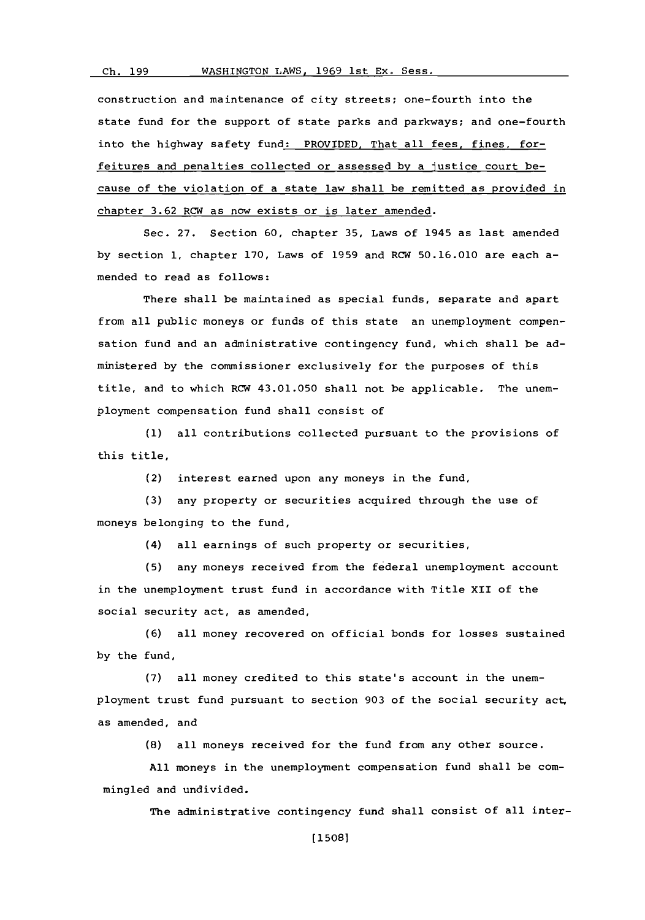#### WASHINGTON LAWS, 1969 1st Ex. Sess. **Ch. 199**

construction and maintenance of city streets; one-fourth into the state fund for the support of state parks and parkways; and one-fourth into the highway safety fund: PROVIDED. That all fees, fines, forfeitures and penalties collected or assessed **by** a justice court because of the violation of a state law shall be remitted as provided in chapter **3.62** RCW as now exists or is later amended.

Sec. **27.** Section **60,** chapter **35,** Laws of 1945 as last amended **by** section **1,** chapter **170,** Laws of **1959** and RCW **50.16.010** are each amended to read as follows:

There shall be maintained as special funds, separate and apart from all public moneys or funds of this state an unemployment compensation fund and an administrative contingency fund, which shall be administered **by** the commissioner exclusively for the purposes of this title, and to which RCW 43.01.050 shall not be applicable. The unemployment compensation fund shall consist of

**(1)** all contributions collected pursuant to the provisions of this title,

(2) interest earned upon any moneys in the fund,

**(3)** any property or securities acquired through the use of moneys belonging to the fund,

(4) all earnings of such property or securities,

**(5)** any moneys received from the federal unemployment account in the unemployment trust fund in accordance with Title XII of the social security act, as amended,

**(6)** all money recovered on official bonds for losses sustained **by** the fund,

**(7)** all money credited to this state's account in the unemployment trust fund pursuant to section **903** of the social security act, as amended, and

**(8)** all moneys received for the fund from any other source.

**All** moneys in the unemployment compensation fund shall be commingled and undivided.

The administrative contingency fund shall consist **of** all inter-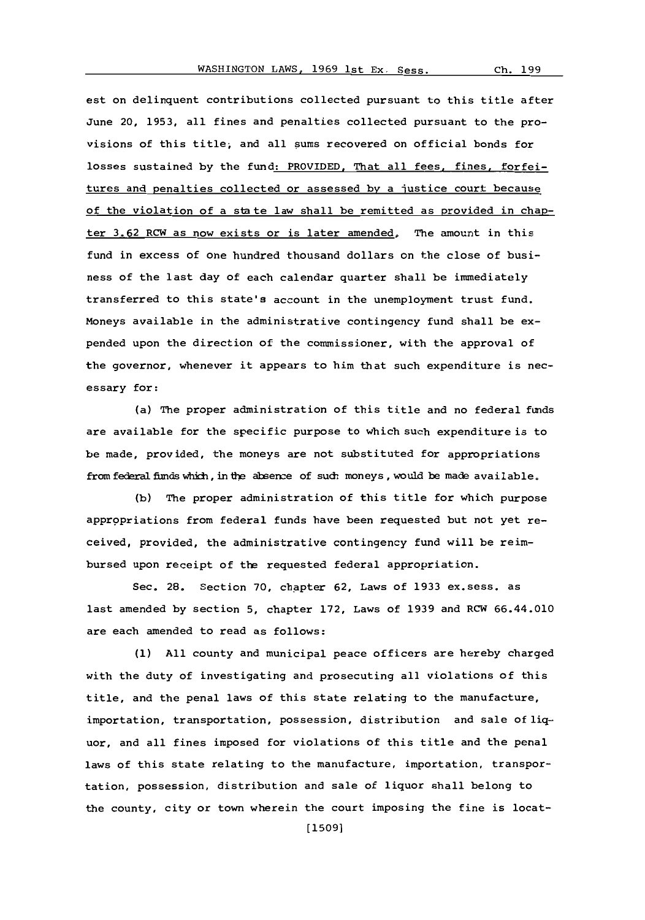est on delinquent contributions collected pursuant to this title after June 20, **1953,** all fines and penalties collected pursuant to the provisions of this title, and all sums recovered on official bonds for losses sustained **by** the fund: PROVIDED. That all fees, fines, forfeitures and penalties collected or assessed **by** a justice court because of the violation of a state law shall be remitted as provided in chapter **3.62** RCW as now exists or is later amended, The amount in this fund in excess of one hundred thousand dollars on the close of business of the last day of each calendar quarter shall be immediately transferred to this state's account in the unemployment trust fund. Moneys available in the administrative contingency fund shall be expended upon the direction of the commissioner, with the approval of the governor, whenever it appears to him that such expenditure is necessary for:

(a) The proper administration of this title and no federal funds are available for the specific purpose to which such expenditure is to be made, provided, the moneys are not substituted for appropriations from federal funds which, in the absence of such moneys, would be made available.

**(b)** The proper administration of this title for which purpose appropriations from federal funds have been requested but not yet received, provided, the administrative contingency fund will be reimbursed upon receipt of the requested federal appropriation.

Sec. 28. Section **70,** chapter **62,** Laws of **1933** ex.sess. as last amended **by** section **5,** chapter **172,** Laws of **1939** and RCW 66.44.010 are each amended to read as follows:

**(1) All** county and municipal peace officers are hereby charged with the duty of investigating and prosecuting all violations of this title, and the penal laws of this state relating to the manufacture, importation, transportation, possession, distribution and sale of liquor, and all fines imposed for violations of this title and the penal laws of this state relating to the manufacture, importation, transportation, possession, distribution and sale of liquor shall belong to the county, city or town wherein the court imposing the fine is locat-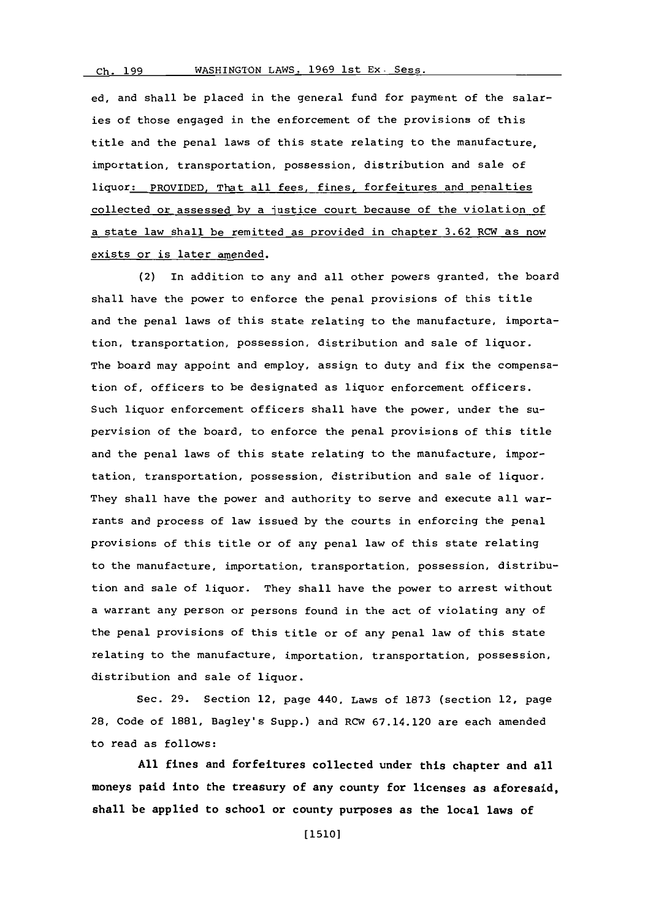ed, and shall be placed in the general fund for payment of the salaries of those engaged in the enforcement of the provisions of this title and the penal laws of this state relating to the manufacture, importation, transportation, possession, distribution and sale of liquor: PROVIDED, That all fees, fines, forfeitures and penalties collected or assessed **by** a justice court because of the violation of a state law shall be remitted as provided in chapter **3.62** RCW as now exists or is later amended.

(2) In addition to any and all other powers granted, the board shall have the power to enforce the penal provisions of this title and the penal laws of this state relating to the manufacture, importation, transportation, possession, distribution and sale of liquor. The board may appoint and employ, assign to duty and fix the compensation of, officers to be designated as liquor enforcement officers. Such liquor enforcement officers shall have the power, under the supervision of the board, to enforce the penal provisions of this title and the penal laws of this state relating to the manufacture, importation, transportation, possession, distribution and sale of liquor. They shall have the power and authority to serve and execute all warrants and process of law issued **by** the courts in enforcing the penal provisions of this title or of any penal law of this state relating to the manufacture, importation, transportation, possession, distribution and sale of liquor. They shall have the power to arrest without a warrant any person or persons found in the act of violating any of the penal provisions of this title or of any penal law of this state relating to the manufacture, importation, transportation, possession, distribution and sale of liquor.

Sec. **29.** Section 12, page 440, Laws of **1873** (section 12, page 28, Code of **1881,** Bagley's Supp.) and RCW 67.14.120 are each amended to read as follows:

**All** fines and forfeitures collected under this chapter and all moneys paid into the treasury of any county for licenses as aforesaid, shall be applied to school or county purposes as the local laws of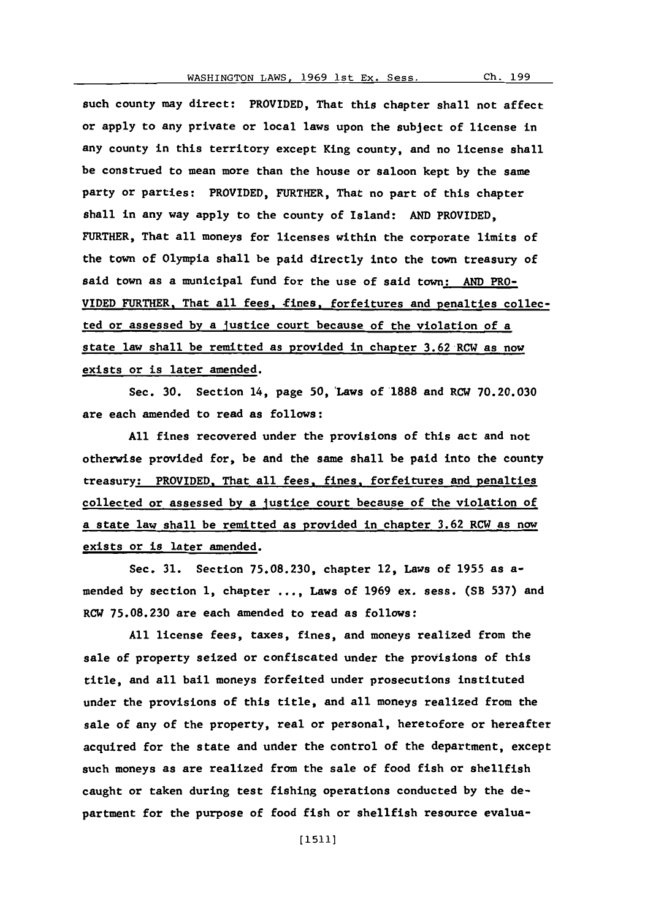such county may direct: PROVIDED, That this chapter shall not affect or apply to any private or local laws upon the subject of license in any county in this territory except King county, and no license shall be construed to mean more than the house or saloon kept **by** the same party or parties: PROVIDED, FURTHER, That no part of this chapter shall in any way apply to the county of Island: **AND** PROVIDED, FURTHER, That all moneys for licenses within the corporate limits of the town of Olympia shall be paid directly into the town treasury of said town as a municipal fund for the use of said town: **AND** PRO-VIDED FURTHER. That all fees. tines, forfeitures and penalties collected or assessed **by** a Justice court because of the violation of a state law shall be remitted as provided in chapter **3.62** RCW as now exists or is later amended.

Sec. **30.** Section 14, page 50, 'Laws of'1888 and RCW **70.20.030** are each amended to read as follows:

**All** fines recovered under the provisions of this act and not otherwise provided for, be and the same shall be paid into the county treasury: PROVIDED. That all fees, fines, forfeitures and penalties collected or assessed **by** a Justice court because of the violation of a state law shall be remitted as provided in chapter **3.62** RCW as now exists or is later amended.

Sec. **31.** Section **75.08.230,** chapter 12, Laws of **1955** as amended **by** section **1,** chapter **... ,** Laws of **1969** ex. sess. (SB **537)** and RCW **75.08.230** are each amended to read as follows:

**All** license fees, taxes, fines, and moneys realized from the sale of property seized or confiscated under the provisions of this title, and all bail moneys forfeited under prosecutions instituted under the provisions of this title, and all moneys realized from the sale of any of the property, real or personal, heretofore or hereafter acquired for the state and under the control of the department, except such moneys as are realized from the sale of food fish or shellfish caught or taken during test fishing operations conducted **by** the department for the purpose of food fish or shellfish resource evalua-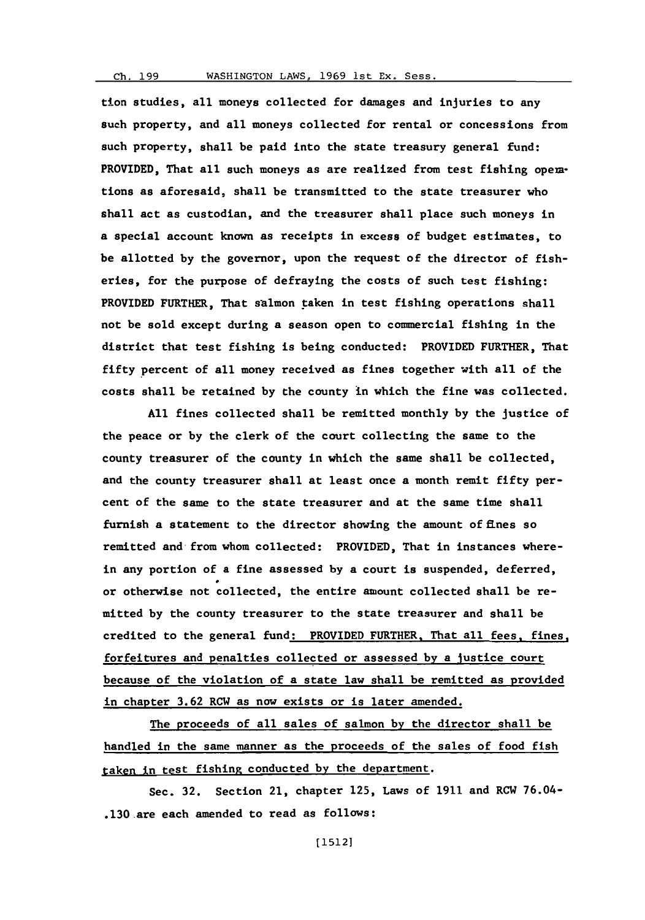## **Ch. 199** WASHINGTON LAWS, **1969** Ist Ex. Sess.

tion studies, all moneys collected for damages and injuries to any such property, and all moneys collected for rental or concessions from such property, shall be paid into the state treasury general fund: PROVIDED, That all such moneys as are realized from test fishing operations as aforesaid, shall be transmitted to the state treasurer who shall act as custodian, and the treasurer shall place such moneys in a special account known as receipts in excess of budget estimates, to be allotted **by** the governor, upon the request of the director of fisheries, for the purpose of defraying the costs of such test fishing: PROVIDED FURTHER, That salmon taken in test fishing operations shall not be sold except during a season open to commercial fishing in the district that test fishing is being conducted: PROVIDED FURTHER, That fifty percent of all money received as fines together with all of the costs shall be retained **by** the county in which the fine was collected.

**All** fines collected shall be remitted monthly **by** the justice of the peace or **by** the clerk of the court collecting the same to the county treasurer of the county in which the same shall be collected, and the county treasurer shall at least once a month remit fifty percent of the same to the state treasurer and at the same time shall furnish a statement to the director showing the amount of fines so remitted and from whom collected: PROVIDED, That in instances wherein any portion of a fine assessed **by** a court is suspended, deferred, or otherwise not collected, the entire amount collected shall be remitted **by** the county treasurer to the state treasurer and shall be credited to the general fund: PROVIDED FURTHER. That all fees, fines, forfeitures and penalties collected or assessed **by** a Justice court because of the violation of a state law shall be remitted as provided in chapter **3.62** RCW as now exists or is later amended.

The proceeds of all sales of salmon **by** the director shall be handled in the same manner as the proceeds of the sales of food fish taken in test fishing conducted **by** the department.

Sec. **32.** Section 21, chapter **125,** Laws of **1911** and RCW 76.04- .130.are each amended to read as follows: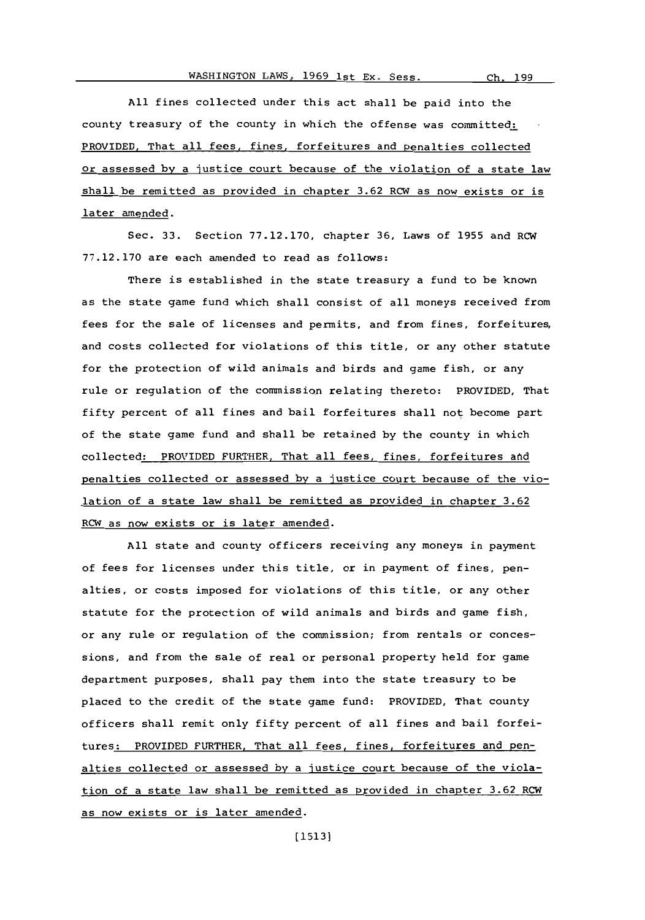**All** fines collected under this act shall be paid into the county treasury of the county in which the offense was committed: PROVIDED. That all fees, fines, forfeitures and penalties collected or assessed **by** a justice court because of the violation of a state law shall be remitted as provided in chapter **3.62** RCW as now exists or is later amended,

Sec. **33.** Section **77.12.170,** chapter **36,** Laws of **1955** and RCW **77.12.170** are each amended to read as follows:

There is established in the state treasury a fund to be known as the state game fund which shall consist of all moneys received from fees for the sale of licenses and permits, and from fines, forfeitures, and costs collected for violations of this title, or any other statute for the protection of wild animals and birds and game fish, or any rule or regulation of the commission relating thereto: PROVIDED, That fifty percent of all fines and bail forfeitures shall not become part of the state game fund and shall be retained **by** the county in which collected: PROVIDED FURTHER, That all fees, fines, forfeitures atd penalties collected or assessed **by** a justice court because of the violation of a state law shall be remitted as provided in chapter **3.62** RCW as now exists or is later amended.

**All** state and county officers receiving any moneys in payment of fees for licenses under this title, or in payment of fines, penalties, or costs imposed for violations of this title, or any other statute for the protection of wild animals and birds and game fish, or any rule or regulation of the commission; from rentals or concessions, and from the sale of real or personal property held for game department purposes, shall pay them into the state treasury to be placed to the credit of the state game fund: PROVIDED, That county officers shall remit only fifty percent of all fines and bail forfeitures: PROVIDED FURTHER, That all fees, fines, forfeitures and penalties collected or assessed **by** a justice court because of the violation of a state law shall be remitted as provided in chapter **3.62** RCW as now exists or is later amended.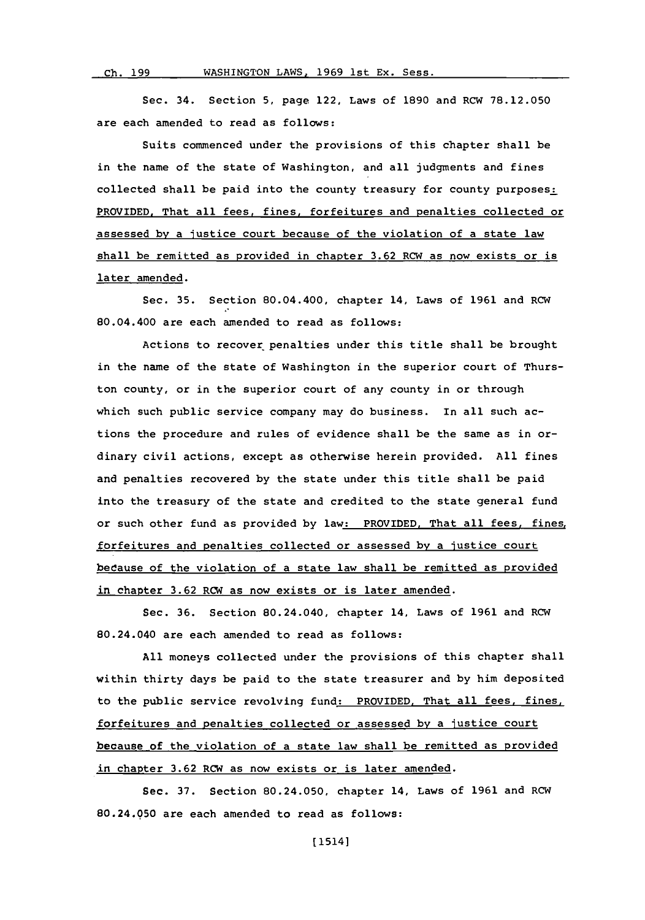Sec. 34. Section **5,** page 122, Laws of **1890** and RCW **78.12.050** are each amended to read as follows:

Suits commenced under the provisions of this chapter shall be in the name of the state of Washington, and all judgments and fines collected shall be paid into the county treasury for county purposes: PROVIDED. That all fees, fines, forfeitures and penalties collected or assessed **by** a justice court because of the violation of a state law shall be remitted as provided in chapter **3.62** RCW as now exists or is later amended.

Sec. **35.** Section 80.04.400, chapter 14, Laws of **1961** and RCW 80.04.400 are each amended to read as follows:

Actions to recover penalties under this title shall be brought in the name of the state of Washington in the superior court **of** Thurston county, or in the superior court of any county in or through which such public service company may do business. In all such actions the procedure and rules of evidence shall be the same as in ordinary civil actions, except as otherwise herein provided. **All** fines and penalties recovered **by** the state under this title shall be paid into the treasury of the state and credited to the state general fund or such other fund as provided **by** law: PROVIDED. That all fees, fines, forfeitures and penalties collected or assessed **by** a justice court bedause of the violation of a state law shall be remitted as provided in chapter **3.62** RCW as now exists or is later amended.

Sec. **36.** Section 80.24.040, chapter 14, Laws of **1961** and RCW 80.24.040 are each amended to read as follows:

**All** moneys collected under the provisions of this chapter shall within thirty days be paid to the state treasurer and **by** him deposited to the public service revolving fund: PROVIDED, That all fees, fines, forfeitures and penalties collected or assessed **by** a justice court because of the violation of a state law shall be remitted as provided in chapter **3.62** RCW as now exists or is later amended.

Sec. **37.** Section 80.24.050, chapter 14, Laws of **1961** and RCW 80.24.050 are each amended to read as follows: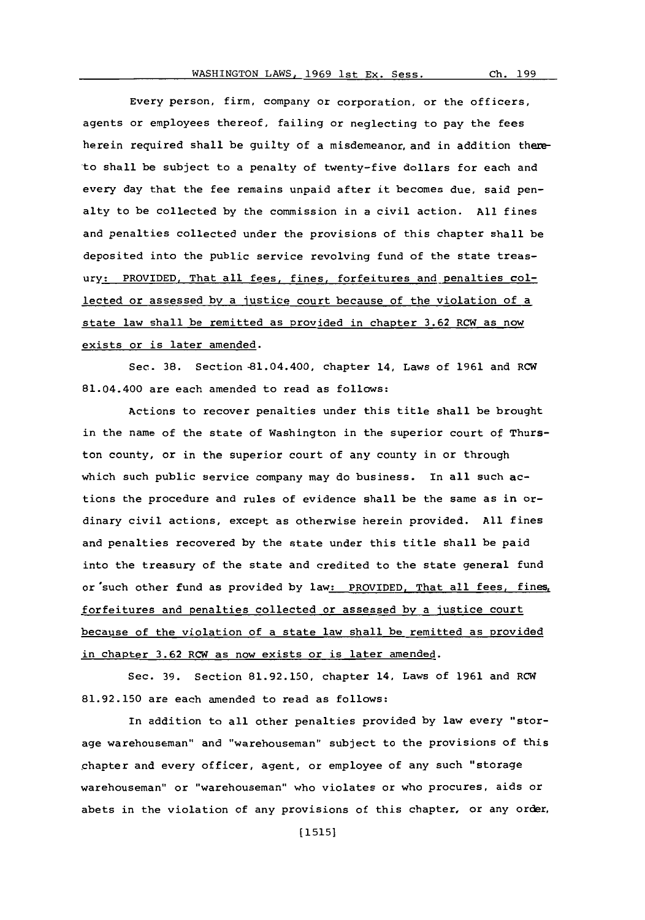Every person, firm, company or corporation, or the officers, agents or employees thereof, failing or neglecting to pay the fees herein required shall be guilty of a misdemeanor, and in addition thereto shall be subject to a penalty of twenty-five dollars for each and every day that the fee remains unpaid after it becomes due, said penalty to be collected **by** the commission in a civil action. **All** fines and penalties collected under the provisions of this chapter shall be deposited into the public service revolving fund of the state treasury: PROVIDED, That all fees, fines, forfeitures and penalties collected or assessed **by** a justice court because of the violation of a state law shall be remitted as provided in chapter **3.62** RCW as now exists or is later amended.

Sec. **38.** Section -81.04.400, chapter 14, Laws of **1961** and RCW 81.04.400 are each amended to read as follows:

Actions to recover penalties under this title shall be brought in the name of the state of Washington in the superior court **of** Thurston county, or in the superior court of any county in or through which such public service company may do business. In all such actions the procedure and rules of evidence shall be the same as in ordinary civil actions, except as otherwise herein provided. **All** fines and penalties recovered **by** the state under this title shall be paid into the treasury of the state and credited to the state general fund or'such other fund as provided **by** law: PROVIDED. That all fees, fines, forfeitures and penalties collected or assessed **by** a justice court because of the violation of a state law shall be remitted as provided in chapter **3.62** RCW as now exists or is later amended.

Sec. **39.** Section **81.92.150,** chapter 14, Laws of **1961** and RCW **81.92.150** are each amended to read as follows:

In addition to all other penalties provided **by** law every "storage warehouseman" and "warehouseman" subject to the provisions of this chapter and every officer, agent, or employee of any such "storage warehouseman" or "warehouseman" who violates or who procures, aids or abets in the violation of any provisions of this chapter, or any order,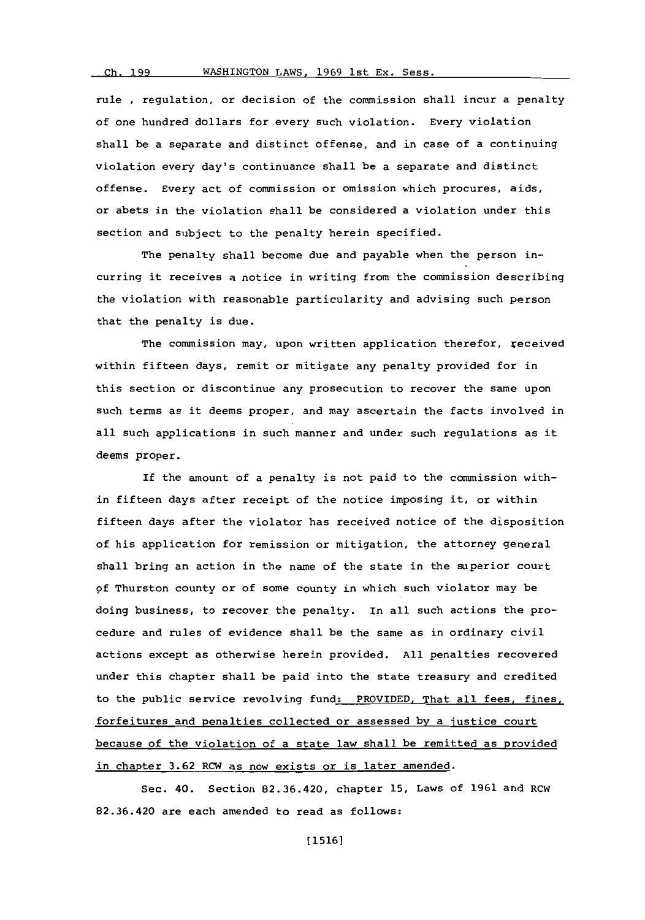## **Ch. 199**

rule **,** regulation, or decision of the commission shall incur a penalty of one hundred dollars for every such violation. Every violation shall be a separate and distinct offense, and in case of a continuing violation every day's continuance shall be a separate and distinct offense. Every act of commission or omission which procures, aids, or abets in the violation shall be considered a violation under this section and subject to the penalty herein specified.

The penalty shall become due and payable when the person incurring it receives a notice in writing from the commission describing the violation with reasonable particularity and advising such person that the penalty is due.

The commission may, upon written application therefor, received within fifteen days, remit or mitigate any penalty provided for in this section or discontinue any prosecution to recover the same upon such terms as it deems proper, and may ascertain the facts involved in all such applications in such manner and under such regulations as it deems proper.

If the amount of a penalty is not paid to the commission within fifteen days after receipt of the notice imposing it, or within fifteen days after the violator has received notice of the disposition of his application for remission or mitigation, the attorney general shall bring an action in the name of the state in the superior court **of** Thurston county or of some county in which such violator may be doing business, to recover the penalty. In all such actions the procedure and rules of evidence shall be the same as in ordinary civil actions except as otherwise herein provided. **All** penalties recovered under this chapter shall be paid into the state treasury and credited to the public service revolving fund: PROVIDED, That all fees, fines, forfeitures and penalties collected or assessed **by** a justice court because of the violation of a state law shall be remitted as provided in chapter **3.62** RCW as now exists or is later amended.

Sec. 40. Section **82.36.420,** chapter **15,** Laws of **1961** and ROW **82.36.420** are each amended to read as follows: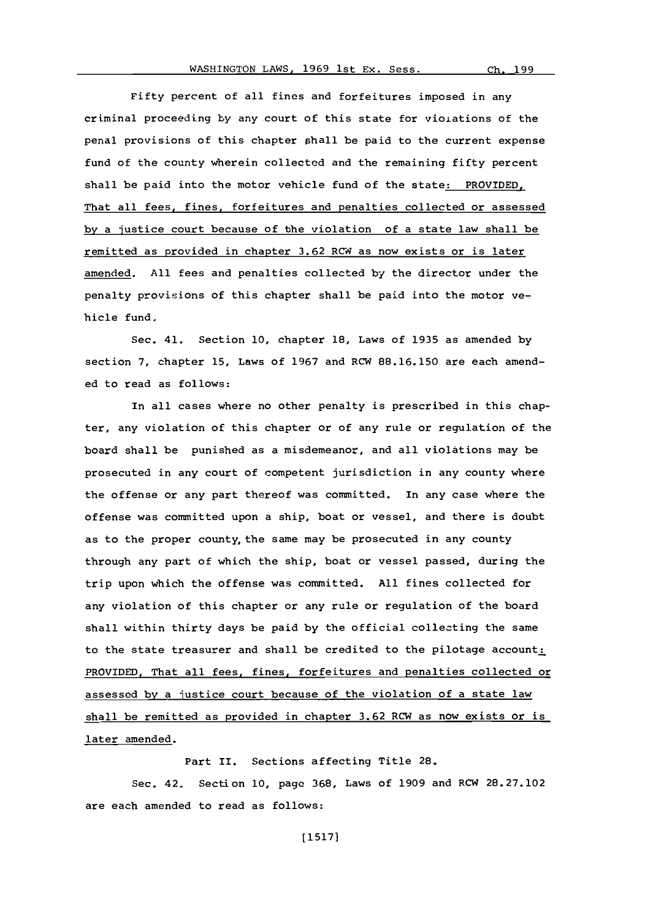Fifty percent of all fines and forfeitures imposed in any criminal proceeding by any court of this state for violations of the penal provisions of this chapter phall be paid to the current expense fund of the county wherein collected and the remaining fifty percent shall be paid into the motor vehicle fund of the state: PROVIDED. That all fees, fines, forfeitures and penalties collected or assessed **by** a justice court because of the violation of a state law shall be remitted as provided in chapter 3.62 RCW as now exists or is later amended. **All** fees and penalties collected **by** the director under the penalty provisions of this chapter shall be paid into the motor vehicle fund.

Sec. 41. Section **10,** chapter **18,** Laws of **1935** as amended **by** section **7,** chapter **15,** Laws of **1967** and RCW **88.16.150** are each amended to read as follows:

In all cases where no other penalty is prescribed in this chapter, any violation of this chapter or of any rule or regulation of the board shall be punished as a misdemeanor, and all violations may be prosecuted in any court of competent jurisdiction in any county where the offense or any part thereof was committed. In any case where the offense was committed upon a ship, boat or vessel, and there is doubt as to the proper county, the same may be prosecuted in any county through any part of which the ship, boat or vessel passed, during the trip upon which the offense was committed. **All** fines collected for any violation of this chapter or any rule or regulation of the board shall within thirty days be paid **by** the official collecting the same to the state treasurer and shall be credited to the pilotage account: PROVIDED, That all fees, fines, forfeitures and penalties collected or assessed **by** a justice court because of the violation of a state law shall be remitted as provided in chapter **3.62** RCW as now exists or is later amended.

Part II. Sections affecting Title **28.**

Sec. 42. Section **10,** page **368,** Laws of **1909** and RCW **28.27.102** are each amended to read as follows: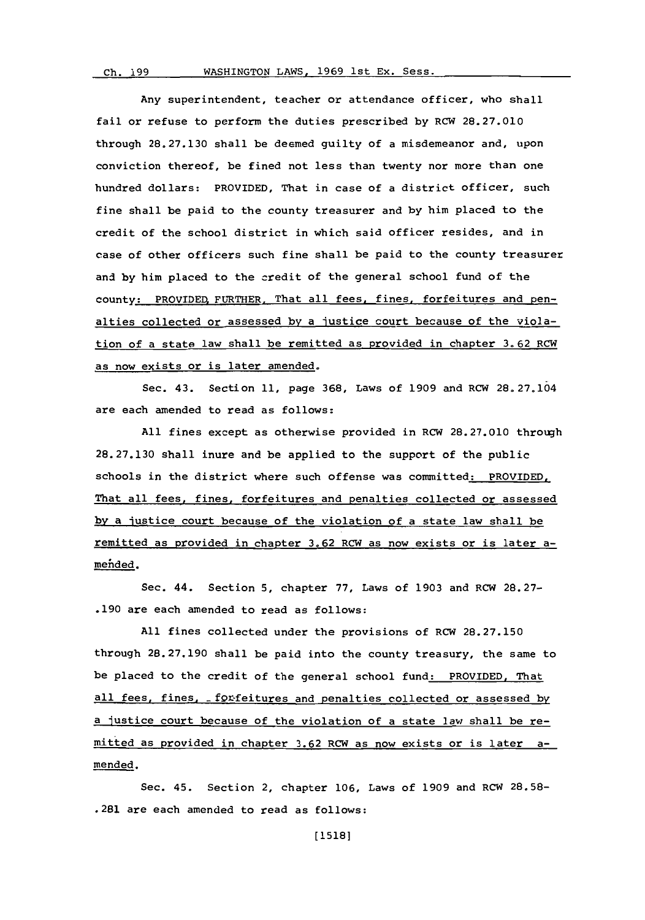<u>Ch. 1998 Machineses</u>

Any superintendent, teacher or attendance officer, who shall fail or refuse to perform the duties prescribed **by** RCW **28.27.010** through **28.27.130** shall be deemed guilty of a misdemeanor and, upon conviction thereof, be fined not less than twenty nor more than one hundred dollars: PROVIDED, That in case of a district officer, such fine shall be paid to the county treasurer and **by** him placed to the credit of the school district in which said officer resides, and in case of other officers such fine shall be paid to the county treasurer and **by** him placed to the credit of the general school fund of the county: PROVIDED, FURTHER, That all fees, fines, forfeitures and penalties collected or assessed **by** a justice court because of the violation of a state law shall be remitted as provided in chapter **3.62** RCW as now exists or is later amended.

Sec. 43. Section **11,** page **368,** Laws of **1909** and RCW **28. 27.104** are each amended to read as follows:

**All** fines except as otherwise provided in RCW **28.27.010** through **28.27.130** shall inure and be applied to the support of the public schools in the district where such offense was committed: PROVIDED, That all fees, fines, forfeitures and penalties collected or assessed **by** a iustice court because of the violation of a state law shall be remitted as provided in chapter **3.62** RCW as now exists or is later amehded.

Sec. 44. Section **5,** chapter **77,** Laws of **1903** and RCW **28.27- .190** are each amended to read as follows:

**All** fines collected under the provisions of RCW **28.27.150** through **28.27.190** shall be paid into the county treasury, the same to be placed to the credit of the general school fund: PROVIDED, That all fees, fines, forfeitures and penalties collected or assessed by a Justice court because **of** the violation of a state law shall be remitted as provided in chapter **3.62** RCW as now exists or is later amended.

Sec. 45. Section 2, chapter **106,** Laws of **1909** and RCW **28.58-** .281 are each amended to read as follows: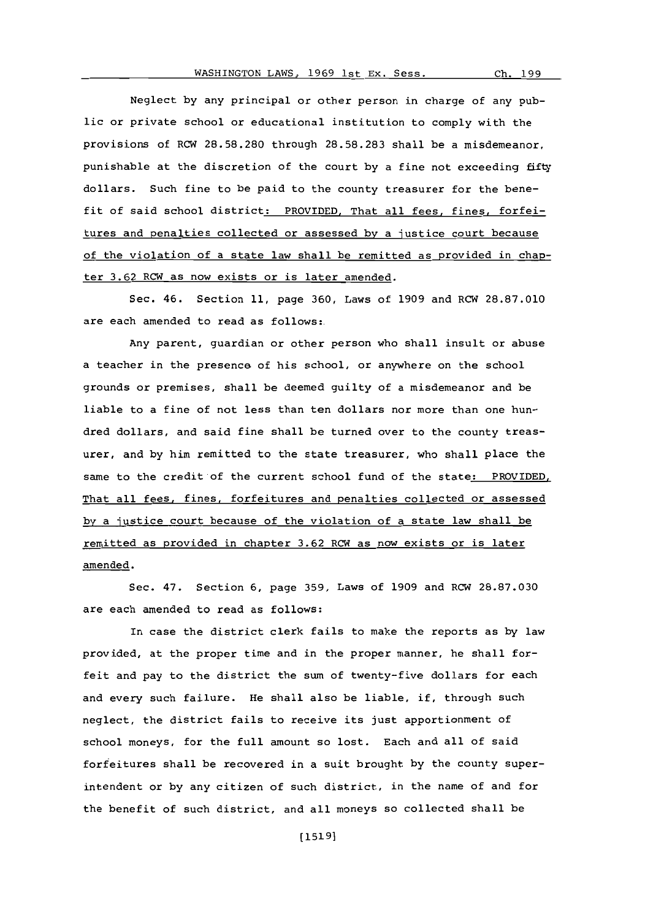Ch. 199

Neglect **by** any principal or other person in charge of any public or private school or educational institution to comply with the provisions of RCW **28.58.280** through **28.58.283** shall be a misdemeanor, punishable at the discretion of the court **by** a fine not exceeding fifty dollars. Such fine to be paid to the county treasurer for the benefit of said school district: PROVIDED, That all fees, fines, forfeitures and penalties collected or assessed **by** a justice court because of the violation of a state law shall be remitted as provided in chapter **3.62** RCW as now exists or is later amended.

Sec. 46. Section **11,** page **360,** Laws of **1909** and RCW **28.87.010** are each amended to read as follows:.

Any parent, guardian or other person who shall insult or abuse a teacher in the presence of his school, or anywhere on the school grounds or premises, shall be deemed guilty of a misdemeanor and be liable to a fine of not less than ten dollars nor more than one hundred dollars, and said fine shall be turned over to the county treasurer, and **by** him remitted to the state treasurer, who shall place the same to the credit of the current school fund of the state: PROVIDED, That all fees, fines, forfeitures and penalties collected or assessed **by** a justice court because of the violation of a state law shall be remitted as provided in chapter **3.62** RCW as now exists or is later amended.

Sec. 47. Section **6,** page **359,** Laws of **1909** and RCW **28.87.030** are each amended to read as follows:

In case the district clerk fails to make the reports as **by** law provided, at the proper time and in the proper manner, he shall forfeit and pay to the district the sum of twenty-five dollars for each and every such failure. He shall also be liable, if, through such neglect, the district fails to receive its just apportionment of school moneys, for the full amount so lost. Each and all of said forfeitures shall be recovered in a suit brought **by** the county superintendent or **by** any citizen of such district, in the name of and for the benefit of such district, and all moneys so collected shall be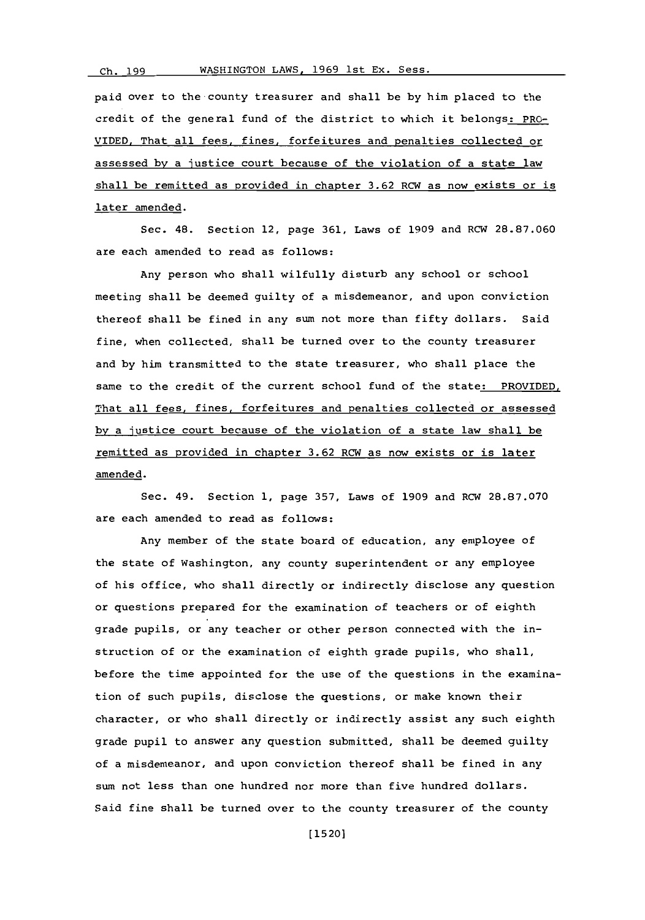paid over to the-county treasurer and shall be **by** him placed to the credit of the general fund of the district to which it belongs: PRO-VIDED. That all fees, fines, forfeitures and penalties collected or assessed **by** a justice court because of the violation of a state law shall be remitted as provided in chapter **3.62** RCW as now exists or is later amended.

Sec. 48. Section 12, page **361,** Laws of **1909** and RCW **28.87.060** are each amended to read as follows:

Any person who shall wilfully disturb any school or school meeting shall be deemed guilty of a misdemeanor, and upon conviction thereof shall be fined in any sum not more than fifty dollars. Said fine, when collected, shall be turned over to the county treasurer and **by** him transmitted to the state treasurer, who shall place the same to the credit of the current school fund of the state: PROVIDED, That all fees, fines, forfeitures and penalties collected or assessed **by** a justice court because of the violation of a state law shall be remitted as provided in chapter **3.62** RCW as now exists or is later amended.

Sec. 49. Section **1,** page **357,** Laws of **1909** and RCW **28.87.070** are each amended to read as follows:

Any member of the state board of education, any employee of the state of Washington, any county superintendent or any employee of his office, who shall directly or indirectly disclose any question or questions prepared for the examination of teachers or of eighth grade pupils, or any teacher or other person connected with the instruction of or the examination of eighth grade pupils, who shall, before the time appointed for the use of the questions in the examination of such pupils, disclose the questions, or make known their character, or who shall directly or indirectly assist any such eighth grade pupil to answer any question submitted, shall be deemed guilty of a misdemeanor, and upon conviction thereof shall be fined in any sum not less than one hundred nor more than five hundred dollars. Said fine shall be turned over to the county treasurer of the county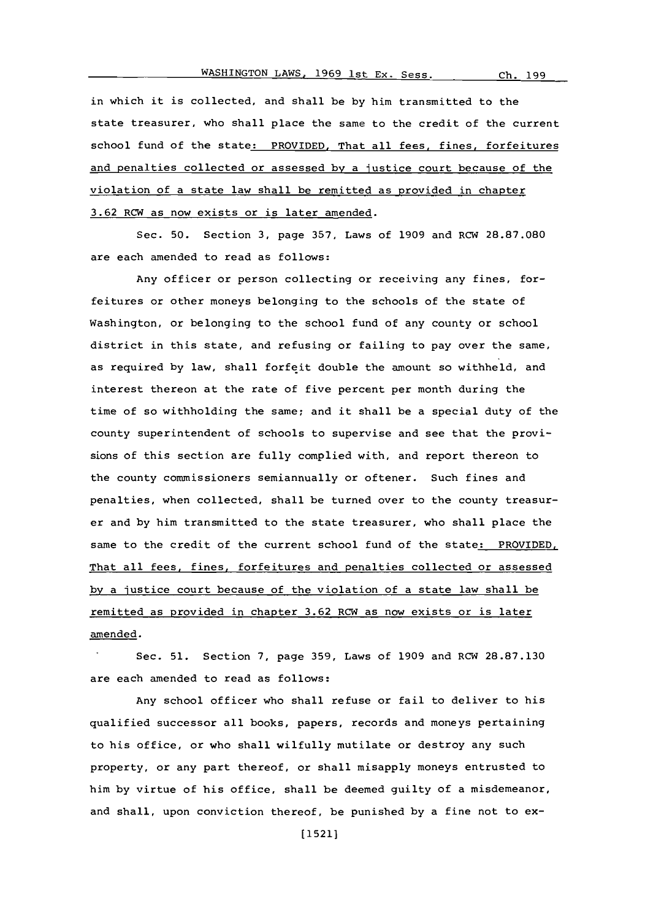in which it is collected, and shall be **by** him transmitted to the state treasurer, who shall place the same to the credit of the current school fund of the state: PROVIDED, That all fees, fines, forfeitures and penalties collected or assessed **by** a justice court because of the violation of a state law shall be remitted as provided in chapter **3.62** RCW as now exists or is later amended.

Sec. **50.** Section **3,** page **357,** Laws of **1909** and RCW **28.87.080** are each amended to read as follows:

Any officer or person collecting or receiving any fines, forfeitures or other moneys belonging to the schools of the state of Washington, or belonging to the school fund of any county or school district in this state, and refusing or failing to pay over the same, as required **by** law, shall forfeit double the amount so withheld, and interest thereon at the rate of five percent per month during the time of so withholding the same; and it shall be a special duty of the county superintendent of schools to supervise and see that the provisions of this section are fully complied with, and report thereon to the county commissioners semiannually or oftener. Such fines and penalties, when collected, shall be turned over to the county treasurer and **by** him transmitted to the state treasurer, who shall place the same to the credit of the current school fund of the state: PROVIDED, That all fees, fines, forfeitures and penalties collected or assessed **by** a justice court because of the violation of a state law shall be remitted as provided in chapter **3.62** RCW as now exists or is later amended.

Sec. **51.** Section **7,** page **359,** Laws of **1909** and RCW **28.87.130** are each amended to read as follows:

Any school officer who shall refuse or fail to deliver to his qualified successor all books, papers, records and moneys pertaining to his office, or who shall wilfully mutilate or destroy any such property, or any part thereof, or shall misapply moneys entrusted to him **by** virtue of his office, shall be deemed guilty of a misdemeanor, and shall, upon conviction thereof, be punished **by** a fine not to **ex-**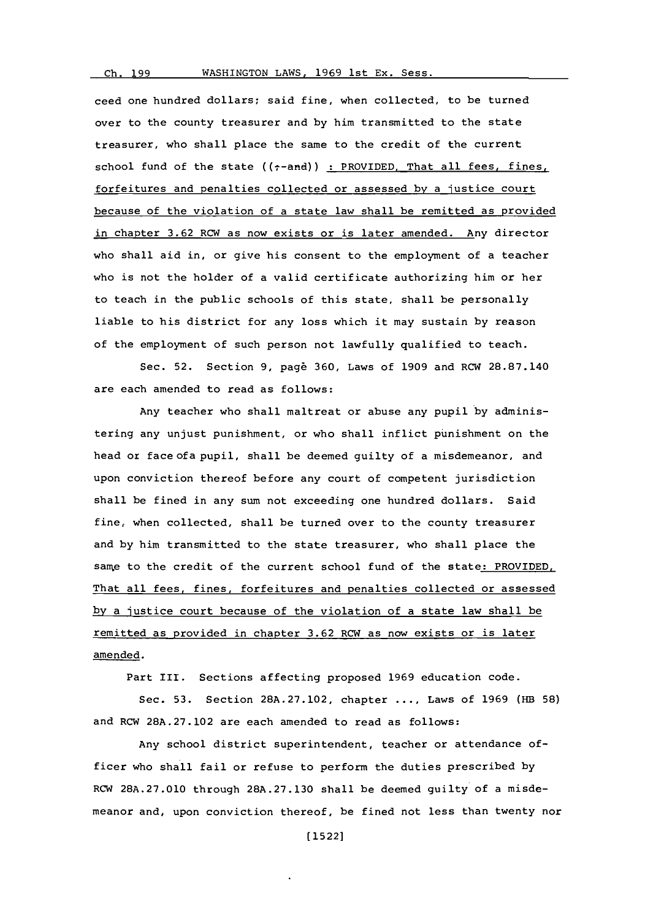## WASHINGTON LAWS, 1969 1st Ex. Sess.

Ch. 199

ceed one hundred dollars; said fine, when collected, to be turned over to the county treasurer and **by** him transmitted to the state treasurer, who shall place the same to the credit of the current school fund of the state  $((\tau$ -and)) : PROVIDED. That all fees, fines, forfeitures and penalties collected or assessed **by** a justice court because of the violation of a state law shall be remitted as provided in chapter **3.62** RCW as now exists or is later amended. Any director who shall aid in, or give his consent to the employment of a teacher who is not the holder of a valid certificate authorizing him or her to teach in the public schools of this state, shall be personally liable to his district for any loss which it may sustain **by** reason of the employment of such person not lawfully qualified to teach.

Sec. **52.** Section **9,** pag6 **360,** Laws of **1909** and RCW **28.87.140** are each amended to read as follows:

Any teacher who shall maltreat or abuse any pupil **by** administering any unjust punishment, or who shall inflict punishment on the head or face of a pupil, shall be deemed guilty of a misdemeanor, and upon conviction thereof before any court of competent jurisdiction shall be fined in any sum not exceeding one hundred dollars. Said fine, when collected, shall be turned over to the county treasurer and **by** him transmitted to the state treasurer, who shall place the same to the credit of the current school fund of the state: PROVIDED, That all fees, fines, forfeitures and penalties collected or assessed **by** a iustice court because of the violation of a state law shall be remitted as provided in chapter **3.62** RCW as now exists or is later amended.

Part III. Sections affecting proposed **1969** education code.

Sec. **53.** Section **28A.27.102,** chapter **... ,** Laws of **1969** (MB **58)** and RCW **28A.27.102** are each amended to read as follows:

Any school district superintendent, teacher or attendance officer who shall fail or refuse to perform the duties prescribed **by** ROW **28A.27.010** through **28A.27.130** shall be deemed guilty of a misdemeanor and, upon conviction thereof, be fined not less than twenty nor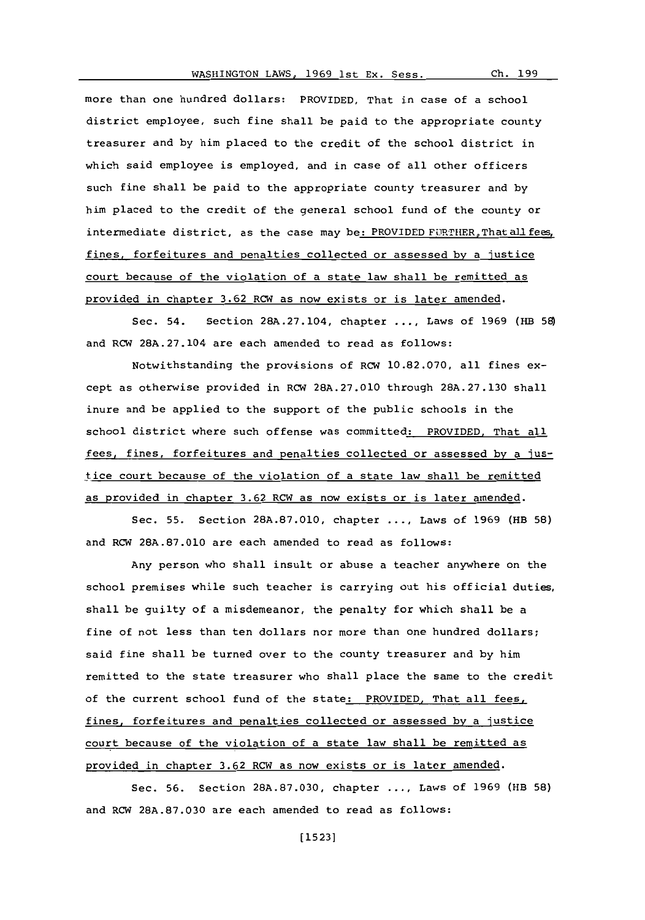more than one hundred dollars: PROVIDED, That in case of a school district employee, such fine shall be paid to the appropriate county treasurer and **by** him placed to the credit of the school district in which said employee is employed, and in case of all other officers such fine shall be paid to the appropriate county treasurer and **by** him placed to the credit of the general school fund of the county or intermediate district, as the case may be: PROVIDED FURTHER, That all fees, fines, forfeitures and penalties collected or assessed **by** a justice court because of the violation of a state law shall be remitted as provided in chapter **3.62** RCW as now exists or is later amended.

Sec. 54. Section **28A.27.104,** chapter **....** Laws of **1969** (HB **58)** and RCW 28A.27.104 are each amended to read as follows:

Notwithstanding the provisions **of** RCW **10.82.070,** all fines **ex**cept as otherwise provided in RCW **28A.27.010** through **28A.27.130** shall inure and be applied to the support of the public schools in the school district where such offense was committed: PROVIDED, That all fees, fines, forfeitures and penalties collected or assessed **by** a justice court because of the violation of a state law shall be remitted as provided in chapter **3.62** RCW as now exists or is later amended.

Sec. **55.** Section **28A.87.010,** chapter **... ,** Laws of **1969** (HB **58)** and RCW **28A.87.010** are each amended to read as follows:

Any person who shall insult or abuse a teacher anywhere on the school premises while such teacher is carrying out his official duties, shall be guilty of a misdemeanor, the penalty for which shall be a fine of not less than ten dollars nor more than one hundred dollars; said fine shall be turned over to the county treasurer and **by** him remitted to the state treasurer who shall place the same to the credit of the current school fund of the state: PROVIDED, That all fees, fines, forfeitures and penalties collected or assessed **by** a justice court because of the violation of a state law shall be remitted as provided in chapter **3.62** RCW as now exists or is later amended.

Sec. **56.** Section **28A.87.030,** chapter **... ,** Laws of **1969** (HB **58)** and RCW **28A.87.030** are each amended to read as follows: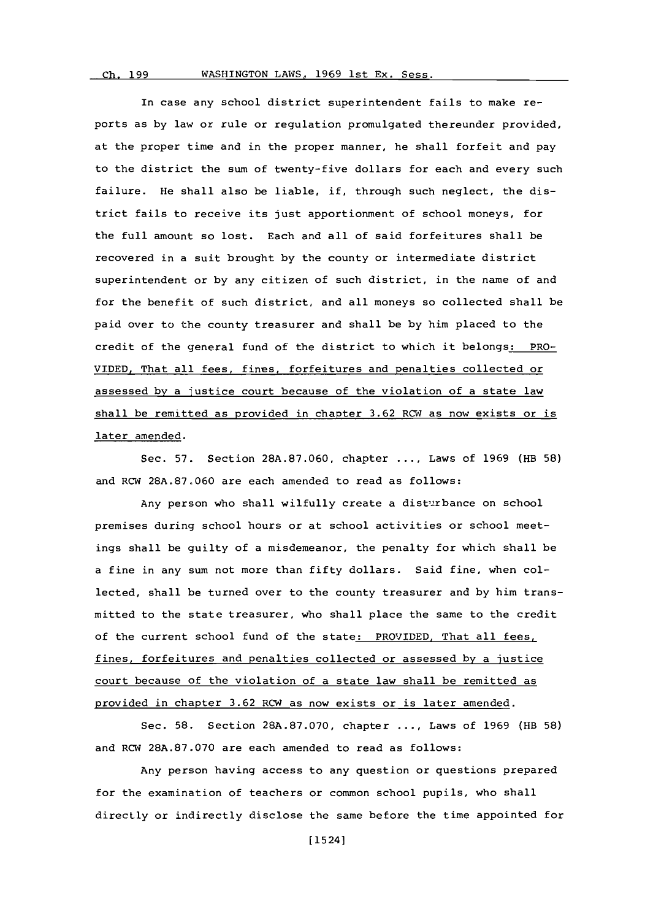In case any school district superintendent fails to make reports as **by** law or rule or regulation promulgated thereunder provided, at the proper time and in the proper manner, he shall forfeit and pay to the district the sum of twenty-five dollars for each and every such failure. He shall also be liable, if, through such neglect, the district fails to receive its just apportionment of school moneys, for the full amount so lost. Each and all of said forfeitures shall be recovered in a suit brought **by** the county or intermediate district superintendent or **by** any citizen of such district, in the name of and for the benefit of such district, and all moneys so collected shall be paid over to the county treasurer and shall be **by** him placed to the credit of the general fund of the district to which it belongs: PRO-**VIDED,** That all fees, fines, forfeitures and penalties collected or assessed **by** a justice court because of the violation of a state law shall be remitted as provided in chapter **3.62** RCW as now exists or is later amended.

Sec. **57.** Section **28A.87.060,** chapter **....** Laws of **1969** (HB **58)** and RCW **28A.87.060** are each amended to read as follows:

Any person who shall wilfully create a disturbance on school premises during school hours or at school activities or school meetings shall be guilty of a misdemeanor, the penalty for which shall be a fine in any sum not more than fifty dollars. Said fine, when collected, shall be turned over to the county treasurer and **by** him transmitted to the state treasurer, who shall place the same to the credit of the current school fund of the state: PROVIDED, That all fees, fines, forfeitures and penalties collected or assessed **by** a justice court because of the violation of a state law shall be remitted as provided in chapter **3.62** RCW as now exists or is later amended.

Sec. **58.** Section **28A.87.070,** chapter **....** Laws of **1969** (HB **58)** and RCW **28A.87.070** are each amended to read as follows:

Any person having access to any question or questions prepared for the examination of teachers or common school pupils, who shall directly or indirectly disclose the same before the time appointed for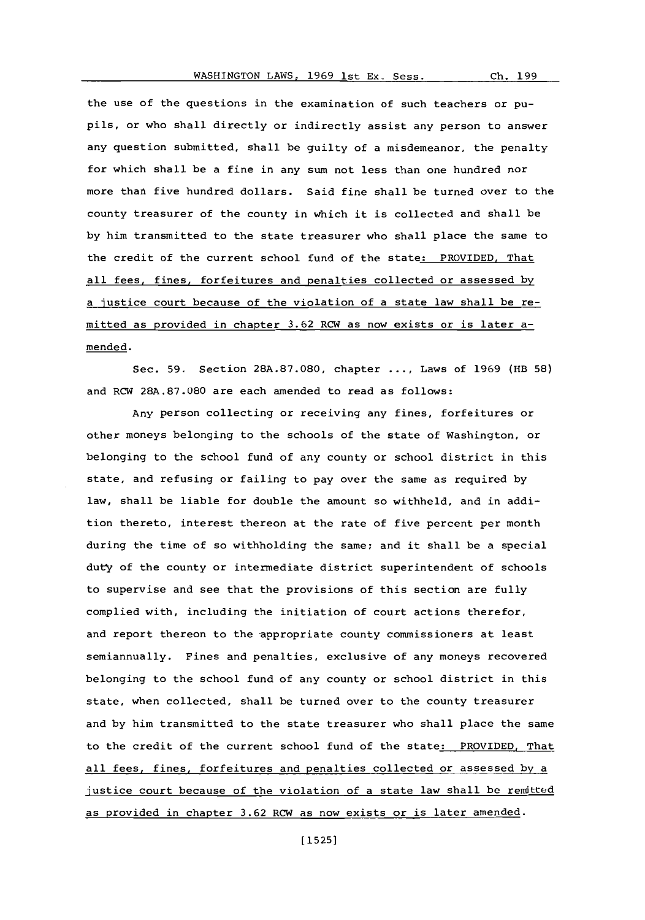Ch. 199

the use of the questions in the examination of such teachers or pupils, or who shall directly or indirectly assist any person to answer any question submitted, shall be guilty of a misdemeanor, the penalty for which shall be a fine in any sum not less than one hundred nor more than five hundred dollars. Said fine shall be turned over to the county treasurer of the county in which it is collected and shall be **by** him transmitted to the state treasurer who shall place the same to the credit of the current school fund of the state: PROVIDED, That all fees, fines, forfeitures and penalties collected or assessed **by** a justice court because of the violation of a state law shall be remitted as provided in chapter **3.62** RCW as now exists or is later amended.

Sec. **59.** Section **28A.87.080,** chapter **....** Laws of **1969** (EB **58)** and RCW **28A.87.080** are each amended to read as follows:

Any person collecting or receiving any fines, forfeitures or other moneys belonging to the schools of the state of Washington, or belonging to the school fund of any county or school district in this state, and refusing or failing to pay over the same as required **by** law, shall be liable for double the amount so withheld, and in addition thereto, interest thereon at the rate of five percent per month during the time of so withholding the same; and it shall be a special duty of the county or intermediate district superintendent of schools to supervise and see that the provisions of this section are fully complied with, including the initiation of court actions therefor, and report thereon to the appropriate county commissioners at least semiannually. Fines and penalties, exclusive of any moneys recovered belonging to the school fund of any county or school district in this state, when collected, shall be turned over to the county treasurer and **by** him transmitted to the state treasurer who shall place the same to the credit of the current school fund of the state: PROVIDED. That all fees, fines, forfeitures and penalties collected or assessed **by** a justice court because of the violation of a state law shall be remitted as provided in chapter **3.62** RCW as now exists or is later amended.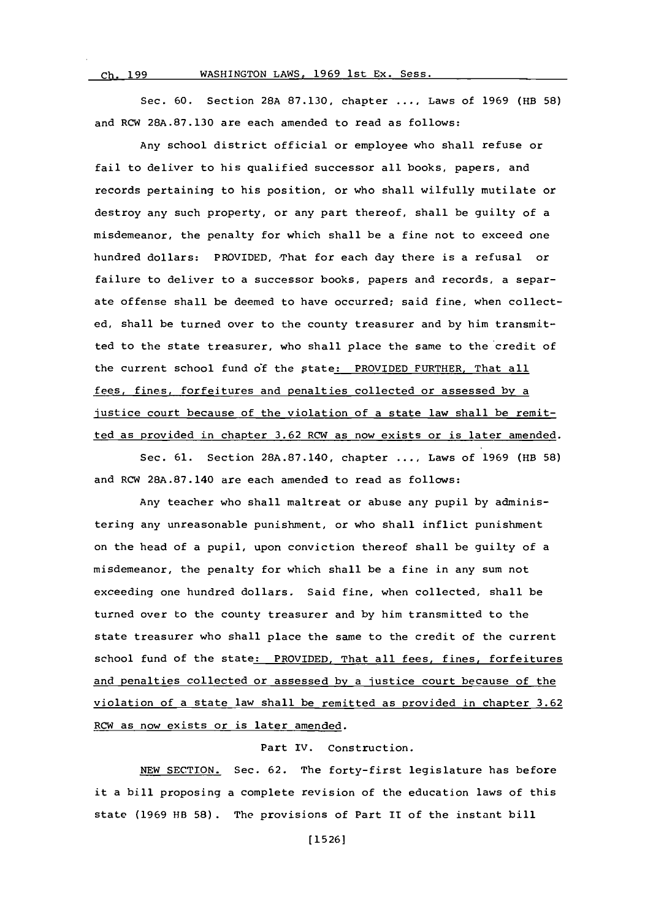*rh- 199*

## WASHINGTON LAWS, 1969 1st Ex. Sess.

Sec. **60.** Section **28A 87.130,** chapter **....** Laws of **1969** (HB **58)** and RCW **28A.87.130** are each amended to read as follows:

Any school district official or employee who shall refuse or fail to deliver to his qualified successor all books, papers, and records pertaining to his position, or who shall wilfully mutilate or destroy any such property, or any part thereof, shall be guilty of a misdemeanor, the penalty for which shall be a fine not to exceed one hundred dollars: PROVIDED, That for each day there is a refusal or failure to deliver to a successor books, papers and records, a separate offense shall be deemed to have occurred; said fine, when collected, shall be turned over to the county treasurer and **by** him transmitted to the state treasurer, who shall place the same to the credit of the current school fund **of** the ptate: PROVIDED FURTHER. That all fees, fines, forfeitures and penalties collected or assessed **by** a justice court because of the violation of a state law shall be remitted as provided in chapter **3.62** RCW as now exists or is later amended.

Sec. **61.** Section **28A.87.140,** chapter **....** Laws of **1969** (HE **58)** and RCW **28A.87.140** are each amended to read as follows:

Any teacher who shall maltreat or abuse any pupil **by** administering any unreasonable punishment, or who shall inflict punishment on the head of a pupil, upon conviction thereof shall be guilty of a misdemeanor, the penalty for which shall be a fine in any sum not exceeding one hundred dollars. Said fine, when collected, shall be turned over to the county treasurer and **by** him transmitted to the state treasurer who shall place the same to the credit of the current school fund of the state: PROVIDED, That all fees, fines, forfeitures and penalties collected or assessed **by** a justice court because of the violation of a state law shall be remitted as provided in chapter **3.62** RCW as now exists or is later amended.

# Part IV. Construction.

**NEW** SECTION. Sec. **62.** The forty-first legislature has before it a bill proposing a complete revision of the education laws of this state **(1969** HB **58) .** The provisions of Part II of the instant bill